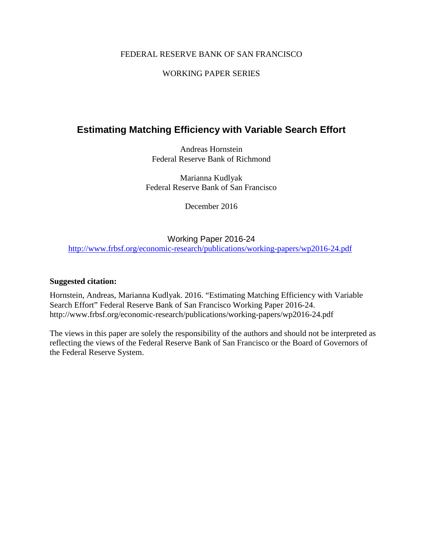#### FEDERAL RESERVE BANK OF SAN FRANCISCO

#### WORKING PAPER SERIES

## **Estimating Matching Efficiency with Variable Search Effort**

Andreas Hornstein Federal Reserve Bank of Richmond

Marianna Kudlyak Federal Reserve Bank of San Francisco

December 2016

#### Working Paper 2016-24

<http://www.frbsf.org/economic-research/publications/working-papers/wp2016-24.pdf>

#### **Suggested citation:**

Hornstein, Andreas, Marianna Kudlyak. 2016. "Estimating Matching Efficiency with Variable Search Effort" Federal Reserve Bank of San Francisco Working Paper 2016-24. http://www.frbsf.org/economic-research/publications/working-papers/wp2016-24.pdf

The views in this paper are solely the responsibility of the authors and should not be interpreted as reflecting the views of the Federal Reserve Bank of San Francisco or the Board of Governors of the Federal Reserve System.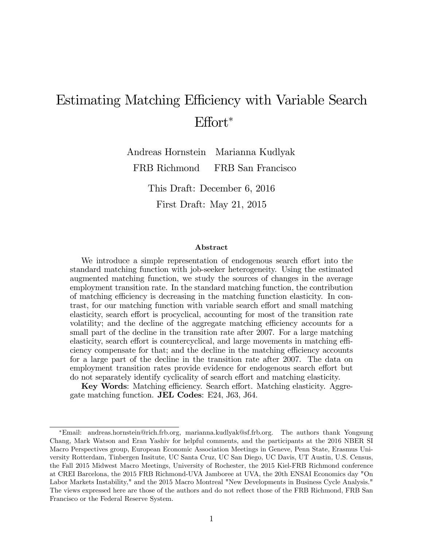# Estimating Matching Efficiency with Variable Search  $Effort^*$

Andreas Hornstein FRB Richmond Marianna Kudlyak FRB San Francisco

> This Draft: December 6, 2016 First Draft: May 21, 2015

#### Abstract

We introduce a simple representation of endogenous search effort into the standard matching function with job-seeker heterogeneity. Using the estimated augmented matching function, we study the sources of changes in the average employment transition rate. In the standard matching function, the contribution of matching efficiency is decreasing in the matching function elasticity. In contrast, for our matching function with variable search effort and small matching elasticity, search effort is procyclical, accounting for most of the transition rate volatility; and the decline of the aggregate matching efficiency accounts for a small part of the decline in the transition rate after 2007. For a large matching elasticity, search effort is countercyclical, and large movements in matching efficiency compensate for that; and the decline in the matching efficiency accounts for a large part of the decline in the transition rate after 2007. The data on employment transition rates provide evidence for endogenous search effort but do not separately identify cyclicality of search effort and matching elasticity.

Key Words: Matching efficiency. Search effort. Matching elasticity. Aggregate matching function. JEL Codes: E24, J63, J64.

Email: andreas.hornstein@rich.frb.org, marianna.kudlyak@sf.frb.org. The authors thank Yongsung Chang, Mark Watson and Eran Yashiv for helpful comments, and the participants at the 2016 NBER SI Macro Perspectives group, European Economic Association Meetings in Geneve, Penn State, Erasmus University Rotterdam, Tinbergen Insitute, UC Santa Cruz, UC San Diego, UC Davis, UT Austin, U.S. Census, the Fall 2015 Midwest Macro Meetings, University of Rochester, the 2015 Kiel-FRB Richmond conference at CREI Barcelona, the 2015 FRB Richmond-UVA Jamboree at UVA, the 20th ENSAI Economics day "On Labor Markets Instability," and the 2015 Macro Montreal "New Developments in Business Cycle Analysis." The views expressed here are those of the authors and do not reflect those of the FRB Richmond, FRB San Francisco or the Federal Reserve System.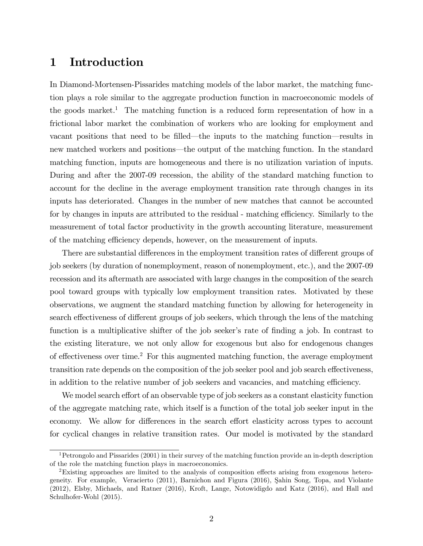## 1 Introduction

In Diamond-Mortensen-Pissarides matching models of the labor market, the matching function plays a role similar to the aggregate production function in macroeconomic models of the goods market.<sup>1</sup> The matching function is a reduced form representation of how in a frictional labor market the combination of workers who are looking for employment and vacant positions that need to be filled—the inputs to the matching function—results in new matched workers and positions—the output of the matching function. In the standard matching function, inputs are homogeneous and there is no utilization variation of inputs. During and after the 2007-09 recession, the ability of the standard matching function to account for the decline in the average employment transition rate through changes in its inputs has deteriorated. Changes in the number of new matches that cannot be accounted for by changes in inputs are attributed to the residual - matching efficiency. Similarly to the measurement of total factor productivity in the growth accounting literature, measurement of the matching efficiency depends, however, on the measurement of inputs.

There are substantial differences in the employment transition rates of different groups of job seekers (by duration of nonemployment, reason of nonemployment, etc.), and the 2007-09 recession and its aftermath are associated with large changes in the composition of the search pool toward groups with typically low employment transition rates. Motivated by these observations, we augment the standard matching function by allowing for heterogeneity in search effectiveness of different groups of job seekers, which through the lens of the matching function is a multiplicative shifter of the job seeker's rate of finding a job. In contrast to the existing literature, we not only allow for exogenous but also for endogenous changes of effectiveness over time.<sup>2</sup> For this augmented matching function, the average employment transition rate depends on the composition of the job seeker pool and job search effectiveness, in addition to the relative number of job seekers and vacancies, and matching efficiency.

We model search effort of an observable type of job seekers as a constant elasticity function of the aggregate matching rate, which itself is a function of the total job seeker input in the economy. We allow for differences in the search effort elasticity across types to account for cyclical changes in relative transition rates. Our model is motivated by the standard

<sup>&</sup>lt;sup>1</sup>Petrongolo and Pissarides  $(2001)$  in their survey of the matching function provide an in-depth description of the role the matching function plays in macroeconomics.

 $2$ Existing approaches are limited to the analysis of composition effects arising from exogenous heterogeneity. For example, Veracierto (2011), Barnichon and Figura (2016), Şahin Song, Topa, and Violante (2012), Elsby, Michaels, and Ratner (2016), Kroft, Lange, Notowidigdo and Katz (2016), and Hall and Schulhofer-Wohl (2015).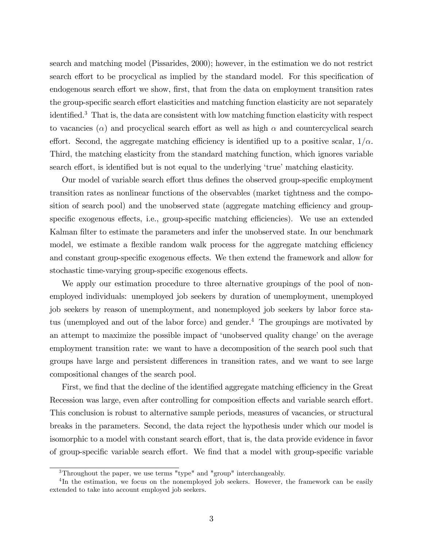search and matching model (Pissarides, 2000); however, in the estimation we do not restrict search effort to be procyclical as implied by the standard model. For this specification of endogenous search effort we show, first, that from the data on employment transition rates the group-specific search effort elasticities and matching function elasticity are not separately identified.<sup>3</sup> That is, the data are consistent with low matching function elasticity with respect to vacancies  $(\alpha)$  and procyclical search effort as well as high  $\alpha$  and countercyclical search effort. Second, the aggregate matching efficiency is identified up to a positive scalar,  $1/\alpha$ . Third, the matching elasticity from the standard matching function, which ignores variable search effort, is identified but is not equal to the underlying 'true' matching elasticity.

Our model of variable search effort thus defines the observed group-specific employment transition rates as nonlinear functions of the observables (market tightness and the composition of search pool) and the unobserved state (aggregate matching efficiency and groupspecific exogenous effects, i.e., group-specific matching efficiencies). We use an extended Kalman filter to estimate the parameters and infer the unobserved state. In our benchmark model, we estimate a flexible random walk process for the aggregate matching efficiency and constant group-specific exogenous effects. We then extend the framework and allow for stochastic time-varying group-specific exogenous effects.

We apply our estimation procedure to three alternative groupings of the pool of nonemployed individuals: unemployed job seekers by duration of unemployment, unemployed job seekers by reason of unemployment, and nonemployed job seekers by labor force status (unemployed and out of the labor force) and gender.<sup>4</sup> The groupings are motivated by an attempt to maximize the possible impact of 'unobserved quality change' on the average employment transition rate: we want to have a decomposition of the search pool such that groups have large and persistent differences in transition rates, and we want to see large compositional changes of the search pool.

First, we find that the decline of the identified aggregate matching efficiency in the Great Recession was large, even after controlling for composition effects and variable search effort. This conclusion is robust to alternative sample periods, measures of vacancies, or structural breaks in the parameters. Second, the data reject the hypothesis under which our model is isomorphic to a model with constant search effort, that is, the data provide evidence in favor of group-specific variable search effort. We find that a model with group-specific variable

<sup>&</sup>lt;sup>3</sup>Throughout the paper, we use terms "type" and "group" interchangeably.

<sup>&</sup>lt;sup>4</sup>In the estimation, we focus on the nonemployed job seekers. However, the framework can be easily extended to take into account employed job seekers.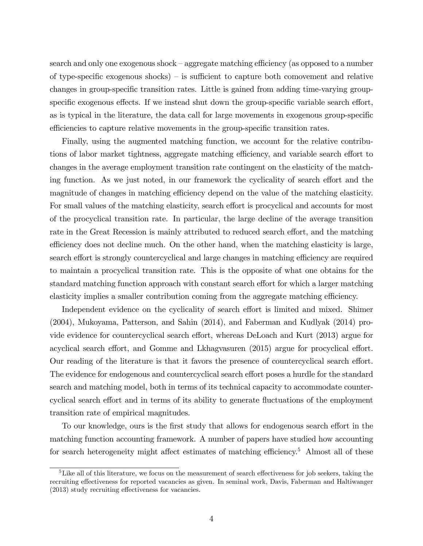search and only one exogenous shock – aggregate matching efficiency (as opposed to a number of type-specific exogenous shocks)  $\overline{\phantom{a}}$  is sufficient to capture both comovement and relative changes in group-specific transition rates. Little is gained from adding time-varying groupspecific exogenous effects. If we instead shut down the group-specific variable search effort, as is typical in the literature, the data call for large movements in exogenous group-specific efficiencies to capture relative movements in the group-specific transition rates.

Finally, using the augmented matching function, we account for the relative contributions of labor market tightness, aggregate matching efficiency, and variable search effort to changes in the average employment transition rate contingent on the elasticity of the matching function. As we just noted, in our framework the cyclicality of search effort and the magnitude of changes in matching efficiency depend on the value of the matching elasticity. For small values of the matching elasticity, search effort is procyclical and accounts for most of the procyclical transition rate. In particular, the large decline of the average transition rate in the Great Recession is mainly attributed to reduced search effort, and the matching efficiency does not decline much. On the other hand, when the matching elasticity is large, search effort is strongly countercyclical and large changes in matching efficiency are required to maintain a procyclical transition rate. This is the opposite of what one obtains for the standard matching function approach with constant search effort for which a larger matching elasticity implies a smaller contribution coming from the aggregate matching efficiency.

Independent evidence on the cyclicality of search effort is limited and mixed. Shimer (2004), Mukoyama, Patterson, and Sahin (2014), and Faberman and Kudlyak (2014) provide evidence for countercyclical search effort, whereas DeLoach and Kurt (2013) argue for acyclical search effort, and Gomme and Lkhagvasuren (2015) argue for procyclical effort. Our reading of the literature is that it favors the presence of countercyclical search effort. The evidence for endogenous and countercyclical search effort poses a hurdle for the standard search and matching model, both in terms of its technical capacity to accommodate countercyclical search effort and in terms of its ability to generate fluctuations of the employment transition rate of empirical magnitudes.

To our knowledge, ours is the first study that allows for endogenous search effort in the matching function accounting framework. A number of papers have studied how accounting for search heterogeneity might affect estimates of matching efficiency.<sup>5</sup> Almost all of these

 $5$ Like all of this literature, we focus on the measurement of search effectiveness for job seekers, taking the recruiting effectiveness for reported vacancies as given. In seminal work, Davis, Faberman and Haltiwanger  $(2013)$  study recruiting effectiveness for vacancies.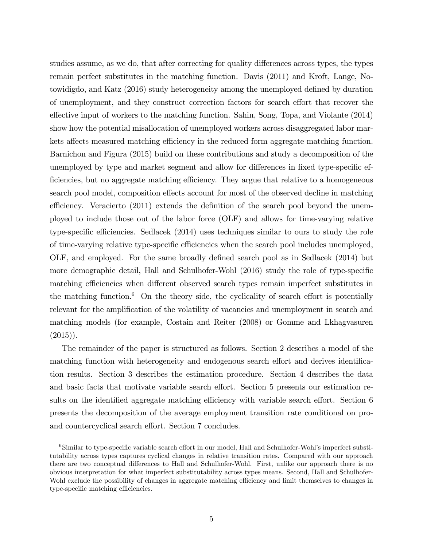studies assume, as we do, that after correcting for quality differences across types, the types remain perfect substitutes in the matching function. Davis (2011) and Kroft, Lange, Notowidigdo, and Katz (2016) study heterogeneity among the unemployed defined by duration of unemployment, and they construct correction factors for search effort that recover the effective input of workers to the matching function. Sahin, Song, Topa, and Violante (2014) show how the potential misallocation of unemployed workers across disaggregated labor markets affects measured matching efficiency in the reduced form aggregate matching function. Barnichon and Figura (2015) build on these contributions and study a decomposition of the unemployed by type and market segment and allow for differences in fixed type-specific efficiencies, but no aggregate matching efficiency. They argue that relative to a homogeneous search pool model, composition effects account for most of the observed decline in matching efficiency. Veracierto  $(2011)$  extends the definition of the search pool beyond the unemployed to include those out of the labor force (OLF) and allows for time-varying relative type-specific efficiencies. Sedlacek  $(2014)$  uses techniques similar to ours to study the role of time-varying relative type-specific efficiencies when the search pool includes unemployed, OLF, and employed. For the same broadly defined search pool as in Sedlacek (2014) but more demographic detail, Hall and Schulhofer-Wohl (2016) study the role of type-specific matching efficiencies when different observed search types remain imperfect substitutes in the matching function.<sup>6</sup> On the theory side, the cyclicality of search effort is potentially relevant for the amplification of the volatility of vacancies and unemployment in search and matching models (for example, Costain and Reiter (2008) or Gomme and Lkhagvasuren  $(2015)$ .

The remainder of the paper is structured as follows. Section 2 describes a model of the matching function with heterogeneity and endogenous search effort and derives identification results. Section 3 describes the estimation procedure. Section 4 describes the data and basic facts that motivate variable search effort. Section 5 presents our estimation results on the identified aggregate matching efficiency with variable search effort. Section 6 presents the decomposition of the average employment transition rate conditional on proand countercyclical search effort. Section 7 concludes.

 $6$ Similar to type-specific variable search effort in our model, Hall and Schulhofer-Wohl's imperfect substitutability across types captures cyclical changes in relative transition rates. Compared with our approach there are two conceptual differences to Hall and Schulhofer-Wohl. First, unlike our approach there is no obvious interpretation for what imperfect substitutability across types means. Second, Hall and Schulhofer-Wohl exclude the possibility of changes in aggregate matching efficiency and limit themselves to changes in type-specific matching efficiencies.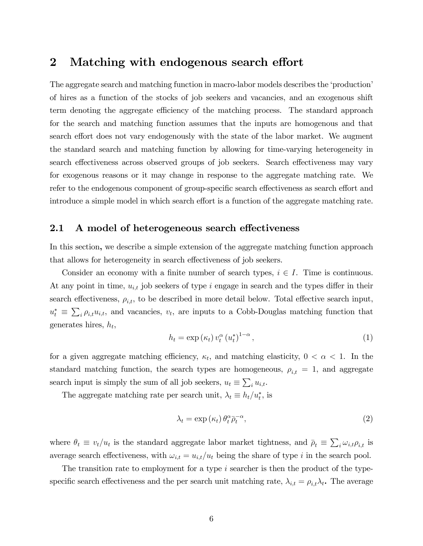### 2 Matching with endogenous search effort

The aggregate search and matching function in macro-labor models describes the 'production' of hires as a function of the stocks of job seekers and vacancies, and an exogenous shift term denoting the aggregate efficiency of the matching process. The standard approach for the search and matching function assumes that the inputs are homogenous and that search effort does not vary endogenously with the state of the labor market. We augment the standard search and matching function by allowing for time-varying heterogeneity in search effectiveness across observed groups of job seekers. Search effectiveness may vary for exogenous reasons or it may change in response to the aggregate matching rate. We refer to the endogenous component of group-specific search effectiveness as search effort and introduce a simple model in which search effort is a function of the aggregate matching rate.

#### 2.1 A model of heterogeneous search effectiveness

In this section, we describe a simple extension of the aggregate matching function approach that allows for heterogeneity in search effectiveness of job seekers.

Consider an economy with a finite number of search types,  $i \in I$ . Time is continuous. At any point in time,  $u_{i,t}$  job seekers of type i engage in search and the types differ in their search effectiveness,  $\rho_{i,t}$ , to be described in more detail below. Total effective search input,  $u_t^* \equiv \sum_i \rho_{i,t} u_{i,t}$ , and vacancies,  $v_t$ , are inputs to a Cobb-Douglas matching function that generates hires,  $h_t$ ,

$$
h_t = \exp\left(\kappa_t\right) v_t^{\alpha} \left(u_t^*\right)^{1-\alpha},\tag{1}
$$

for a given aggregate matching efficiency,  $\kappa_t$ , and matching elasticity,  $0 < \alpha < 1$ . In the standard matching function, the search types are homogeneous,  $\rho_{i,t} = 1$ , and aggregate search input is simply the sum of all job seekers,  $u_t \equiv \sum_i u_{i,t}$ .

The aggregate matching rate per search unit,  $\lambda_t \equiv h_t/u_t^*$ , is

$$
\lambda_t = \exp\left(\kappa_t\right) \theta_t^{\alpha} \bar{\rho}_t^{-\alpha},\tag{2}
$$

where  $\theta_t \equiv v_t/u_t$  is the standard aggregate labor market tightness, and  $\bar{\rho}_t \equiv \sum_i \omega_{i,t} \rho_{i,t}$  is average search effectiveness, with  $\omega_{i,t} = u_{i,t}/u_t$  being the share of type i in the search pool.

The transition rate to employment for a type i searcher is then the product of the typespecific search effectiveness and the per search unit matching rate,  $\lambda_{i,t} = \rho_{i,t} \lambda_t$ . The average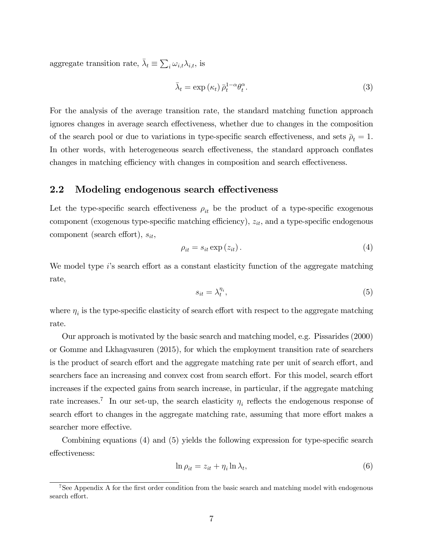aggregate transition rate,  $\bar{\lambda}_t \equiv \sum_i \omega_{i,t} \lambda_{i,t}$ , is

$$
\bar{\lambda}_t = \exp\left(\kappa_t\right) \bar{\rho}_t^{1-\alpha} \theta_t^{\alpha}.
$$
\n(3)

For the analysis of the average transition rate, the standard matching function approach ignores changes in average search effectiveness, whether due to changes in the composition of the search pool or due to variations in type-specific search effectiveness, and sets  $\bar{\rho}_t = 1$ . In other words, with heterogeneous search effectiveness, the standard approach conflates changes in matching efficiency with changes in composition and search effectiveness.

#### 2.2 Modeling endogenous search effectiveness

Let the type-specific search effectiveness  $\rho_{it}$  be the product of a type-specific exogenous component (exogenous type-specific matching efficiency),  $z_{it}$ , and a type-specific endogenous component (search effort),  $s_{it}$ ,

$$
\rho_{it} = s_{it} \exp\left(z_{it}\right). \tag{4}
$$

We model type  $i$ 's search effort as a constant elasticity function of the aggregate matching rate,

$$
s_{it} = \lambda_t^{\eta_i},\tag{5}
$$

where  $\eta_i$  is the type-specific elasticity of search effort with respect to the aggregate matching rate.

Our approach is motivated by the basic search and matching model, e.g. Pissarides (2000) or Gomme and Lkhagvasuren (2015), for which the employment transition rate of searchers is the product of search effort and the aggregate matching rate per unit of search effort, and searchers face an increasing and convex cost from search effort. For this model, search effort increases if the expected gains from search increase, in particular, if the aggregate matching rate increases.<sup>7</sup> In our set-up, the search elasticity  $\eta_i$  reflects the endogenous response of search effort to changes in the aggregate matching rate, assuming that more effort makes a searcher more effective.

Combining equations  $(4)$  and  $(5)$  yields the following expression for type-specific search effectiveness:

$$
\ln \rho_{it} = z_{it} + \eta_i \ln \lambda_t,\tag{6}
$$

<sup>&</sup>lt;sup>7</sup>See Appendix A for the first order condition from the basic search and matching model with endogenous search effort.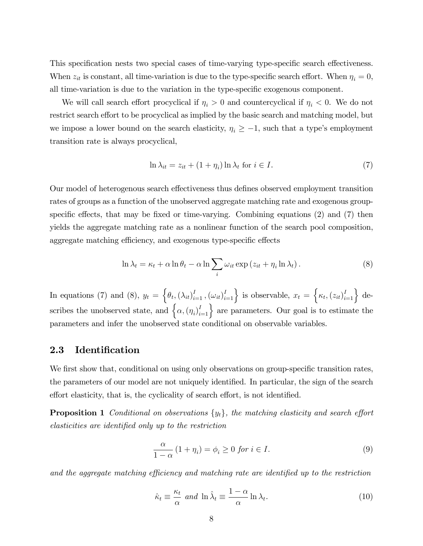This specification nests two special cases of time-varying type-specific search effectiveness. When  $z_{it}$  is constant, all time-variation is due to the type-specific search effort. When  $\eta_i = 0$ , all time-variation is due to the variation in the type-specific exogenous component.

We will call search effort procyclical if  $\eta_i > 0$  and countercyclical if  $\eta_i < 0$ . We do not restrict search effort to be procyclical as implied by the basic search and matching model, but we impose a lower bound on the search elasticity,  $\eta_i \geq -1$ , such that a type's employment transition rate is always procyclical,

$$
\ln \lambda_{it} = z_{it} + (1 + \eta_i) \ln \lambda_t \text{ for } i \in I.
$$
 (7)

Our model of heterogenous search effectiveness thus defines observed employment transition rates of groups as a function of the unobserved aggregate matching rate and exogenous groupspecific effects, that may be fixed or time-varying. Combining equations  $(2)$  and  $(7)$  then yields the aggregate matching rate as a nonlinear function of the search pool composition, aggregate matching efficiency, and exogenous type-specific effects

$$
\ln \lambda_t = \kappa_t + \alpha \ln \theta_t - \alpha \ln \sum_i \omega_{it} \exp (z_{it} + \eta_i \ln \lambda_t).
$$
 (8)

In equations (7) and (8),  $y_t = \left\{\theta_t, (\lambda_{it})_{i=1}^I, (\omega_{it})_{i=1}^I\right\}$  is observable,  $x_t = \left\{\kappa_t, (z_{it})_{i=1}^I\right\}$  describes the unobserved state, and  $\{\alpha, (\eta_i)_{i=1}^I\}$  are parameters. Our goal is to estimate the parameters and infer the unobserved state conditional on observable variables.

#### 2.3 Identification

We first show that, conditional on using only observations on group-specific transition rates, the parameters of our model are not uniquely identified. In particular, the sign of the search effort elasticity, that is, the cyclicality of search effort, is not identified.

**Proposition 1** Conditional on observations  $\{y_t\}$ , the matching elasticity and search effort elasticities are identified only up to the restriction

$$
\frac{\alpha}{1-\alpha} (1+\eta_i) = \phi_i \ge 0 \text{ for } i \in I.
$$
 (9)

and the aggregate matching efficiency and matching rate are identified up to the restriction

$$
\hat{\kappa}_t \equiv \frac{\kappa_t}{\alpha} \text{ and } \ln \hat{\lambda}_t \equiv \frac{1 - \alpha}{\alpha} \ln \lambda_t. \tag{10}
$$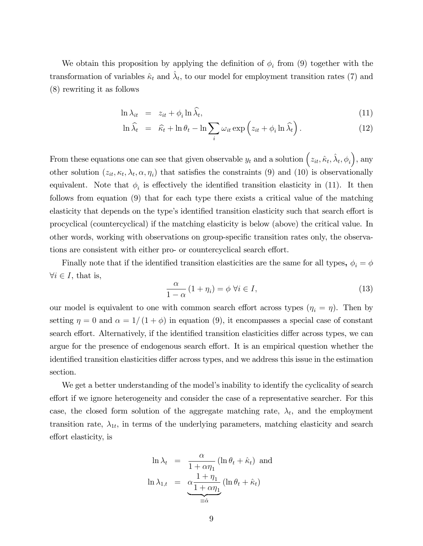We obtain this proposition by applying the definition of  $\phi_i$  from (9) together with the transformation of variables  $\hat{\kappa}_t$  and  $\hat{\lambda}_t$ , to our model for employment transition rates (7) and (8) rewriting it as follows

$$
\ln \lambda_{it} = z_{it} + \phi_i \ln \widehat{\lambda}_t, \tag{11}
$$

$$
\ln \widehat{\lambda}_t = \widehat{\kappa}_t + \ln \theta_t - \ln \sum_i \omega_{it} \exp \left( z_{it} + \phi_i \ln \widehat{\lambda}_t \right). \tag{12}
$$

From these equations one can see that given observable  $y_t$  and a solution  $(z_{it}, \hat{\kappa}_t, \hat{\lambda}_t, \phi_i)$ , any other solution  $(z_{it}, \kappa_t, \lambda_t, \alpha, \eta_i)$  that satisfies the constraints (9) and (10) is observationally equivalent. Note that  $\phi_i$  is effectively the identified transition elasticity in (11). It then follows from equation (9) that for each type there exists a critical value of the matching elasticity that depends on the type's identified transition elasticity such that search effort is procyclical (countercyclical) if the matching elasticity is below (above) the critical value. In other words, working with observations on group-specific transition rates only, the observations are consistent with either pro- or countercyclical search effort.

Finally note that if the identified transition elasticities are the same for all types,  $\phi_i = \phi$  $\forall i \in I$ , that is,

$$
\frac{\alpha}{1-\alpha} (1+\eta_i) = \phi \,\forall i \in I,
$$
\n(13)

our model is equivalent to one with common search effort across types  $(\eta_i = \eta)$ . Then by setting  $\eta = 0$  and  $\alpha = 1/(1 + \phi)$  in equation (9), it encompasses a special case of constant search effort. Alternatively, if the identified transition elasticities differ across types, we can argue for the presence of endogenous search effort. It is an empirical question whether the identified transition elasticities differ across types, and we address this issue in the estimation section.

We get a better understanding of the model's inability to identify the cyclicality of search effort if we ignore heterogeneity and consider the case of a representative searcher. For this case, the closed form solution of the aggregate matching rate,  $\lambda_t$ , and the employment transition rate,  $\lambda_{1t}$ , in terms of the underlying parameters, matching elasticity and search effort elasticity, is

$$
\ln \lambda_t = \frac{\alpha}{1 + \alpha \eta_1} (\ln \theta_t + \hat{\kappa}_t) \text{ and}
$$

$$
\ln \lambda_{1,t} = \underbrace{\alpha \frac{1 + \eta_1}{1 + \alpha \eta_1}}_{\equiv \hat{\alpha}} (\ln \theta_t + \hat{\kappa}_t)
$$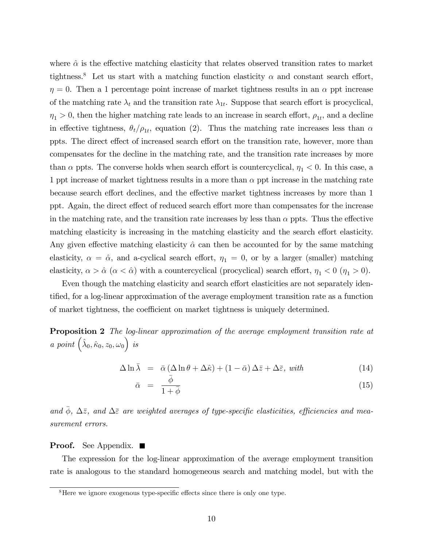where  $\hat{\alpha}$  is the effective matching elasticity that relates observed transition rates to market tightness.<sup>8</sup> Let us start with a matching function elasticity  $\alpha$  and constant search effort,  $\eta = 0$ . Then a 1 percentage point increase of market tightness results in an  $\alpha$  ppt increase of the matching rate  $\lambda_t$  and the transition rate  $\lambda_{1t}$ . Suppose that search effort is procyclical,  $\eta_1 > 0$ , then the higher matching rate leads to an increase in search effort,  $\rho_{1t}$ , and a decline in effective tightness,  $\theta_t/\rho_{1t}$ , equation (2). Thus the matching rate increases less than  $\alpha$ ppts. The direct effect of increased search effort on the transition rate, however, more than compensates for the decline in the matching rate, and the transition rate increases by more than  $\alpha$  ppts. The converse holds when search effort is countercyclical,  $\eta_1 < 0$ . In this case, a 1 ppt increase of market tightness results in a more than  $\alpha$  ppt increase in the matching rate because search effort declines, and the effective market tightness increases by more than 1 ppt. Again, the direct effect of reduced search effort more than compensates for the increase in the matching rate, and the transition rate increases by less than  $\alpha$  ppts. Thus the effective matching elasticity is increasing in the matching elasticity and the search effort elasticity. Any given effective matching elasticity  $\hat{\alpha}$  can then be accounted for by the same matching elasticity,  $\alpha = \hat{\alpha}$ , and a-cyclical search effort,  $\eta_1 = 0$ , or by a larger (smaller) matching elasticity,  $\alpha > \hat{\alpha}$  ( $\alpha < \hat{\alpha}$ ) with a countercyclical (procyclical) search effort,  $\eta_1 < 0$  ( $\eta_1 > 0$ ).

Even though the matching elasticity and search effort elasticities are not separately identified, for a log-linear approximation of the average employment transition rate as a function of market tightness, the coefficient on market tightness is uniquely determined.

**Proposition 2** The log-linear approximation of the average employment transition rate at a point  $(\hat{\lambda}_0, \hat{\kappa}_0, z_0, \omega_0)$  is

$$
\Delta \ln \bar{\lambda} = \bar{\alpha} \left( \Delta \ln \theta + \Delta \hat{\kappa} \right) + \left( 1 - \bar{\alpha} \right) \Delta \bar{z} + \Delta \bar{\varepsilon}, \ \text{with} \tag{14}
$$

$$
\bar{\alpha} = \frac{\bar{\phi}}{1 + \bar{\phi}} \tag{15}
$$

and  $\phi$ ,  $\Delta \bar{z}$ , and  $\Delta \bar{z}$  are weighted averages of type-specific elasticities, efficiencies and measurement errors.

#### **Proof.** See Appendix.  $\blacksquare$

The expression for the log-linear approximation of the average employment transition rate is analogous to the standard homogeneous search and matching model, but with the

 $8$ Here we ignore exogenous type-specific effects since there is only one type.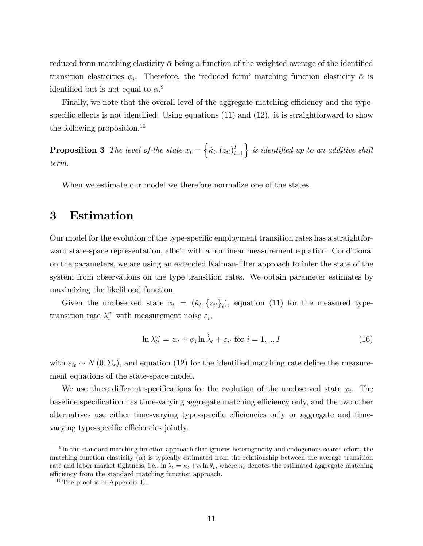reduced form matching elasticity  $\bar{\alpha}$  being a function of the weighted average of the identified transition elasticities  $\phi_i$ . Therefore, the 'reduced form' matching function elasticity  $\bar{\alpha}$  is identified but is not equal to  $\alpha$ <sup>9</sup>

Finally, we note that the overall level of the aggregate matching efficiency and the typespecific effects is not identified. Using equations  $(11)$  and  $(12)$ . it is straightforward to show the following proposition.<sup>10</sup>

**Proposition 3** The level of the state  $x_t = \left\{\hat{\kappa}_t, (z_{it})_{i=1}^I\right\}$  is identified up to an additive shift term.

When we estimate our model we therefore normalize one of the states.

## 3 Estimation

Our model for the evolution of the type-specific employment transition rates has a straightforward state-space representation, albeit with a nonlinear measurement equation. Conditional on the parameters, we are using an extended Kalman-Ölter approach to infer the state of the system from observations on the type transition rates. We obtain parameter estimates by maximizing the likelihood function.

Given the unobserved state  $x_t = (\hat{\kappa}_t, \{z_{it}\}_i)$ , equation (11) for the measured typetransition rate  $\lambda_i^m$  with measurement noise  $\varepsilon_i$ ,

$$
\ln \lambda_{it}^{m} = z_{it} + \phi_i \ln \hat{\lambda}_t + \varepsilon_{it} \text{ for } i = 1,..,I
$$
\n(16)

with  $\varepsilon_{it} \sim N(0, \Sigma_{\varepsilon})$ , and equation (12) for the identified matching rate define the measurement equations of the state-space model.

We use three different specifications for the evolution of the unobserved state  $x_t$ . The baseline specification has time-varying aggregate matching efficiency only, and the two other alternatives use either time-varying type-specific efficiencies only or aggregate and timevarying type-specific efficiencies jointly.

 $^{9}$ In the standard matching function approach that ignores heterogeneity and endogenous search effort, the matching function elasticity  $(\overline{\alpha})$  is typically estimated from the relationship between the average transition rate and labor market tightness, i.e.,  $\ln \bar{\lambda}_t = \bar{\kappa}_t + \bar{\alpha} \ln \theta_t$ , where  $\bar{\kappa}_t$  denotes the estimated aggregate matching efficiency from the standard matching function approach.

 $10$ The proof is in Appendix C.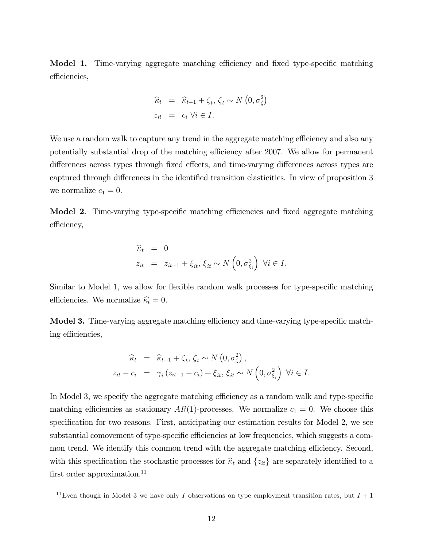Model 1. Time-varying aggregate matching efficiency and fixed type-specific matching efficiencies,

$$
\widehat{\kappa}_t = \widehat{\kappa}_{t-1} + \zeta_t, \zeta_t \sim N\left(0, \sigma_{\zeta}^2\right)
$$
  

$$
z_{it} = c_i \,\forall i \in I.
$$

We use a random walk to capture any trend in the aggregate matching efficiency and also any potentially substantial drop of the matching efficiency after 2007. We allow for permanent differences across types through fixed effects, and time-varying differences across types are captured through differences in the identified transition elasticities. In view of proposition 3 we normalize  $c_1 = 0$ .

Model 2. Time-varying type-specific matching efficiencies and fixed aggregate matching efficiency,

$$
\begin{aligned}\n\widehat{\kappa}_t &= 0\\ \nz_{it} &= z_{it-1} + \xi_{it}, \, \xi_{it} \sim N\left(0, \sigma_{\xi_i}^2\right) \, \forall i \in I.\n\end{aligned}
$$

Similar to Model 1, we allow for flexible random walk processes for type-specific matching efficiencies. We normalize  $\hat{\kappa}_t = 0$ .

Model 3. Time-varying aggregate matching efficiency and time-varying type-specific matching efficiencies,

$$
\widehat{\kappa}_t = \widehat{\kappa}_{t-1} + \zeta_t, \zeta_t \sim N\left(0, \sigma_{\zeta}^2\right),
$$
  
\n
$$
z_{it} - c_i = \gamma_i \left(z_{it-1} - c_i\right) + \xi_{it}, \xi_{it} \sim N\left(0, \sigma_{\xi_i}^2\right) \ \forall i \in I.
$$

In Model 3, we specify the aggregate matching efficiency as a random walk and type-specific matching efficiencies as stationary  $AR(1)$ -processes. We normalize  $c_1 = 0$ . We choose this specification for two reasons. First, anticipating our estimation results for Model 2, we see substantial comovement of type-specific efficiencies at low frequencies, which suggests a common trend. We identify this common trend with the aggregate matching efficiency. Second, with this specification the stochastic processes for  $\hat{\kappa}_t$  and  $\{z_{it}\}$  are separately identified to a first order approximation.<sup>11</sup>

<sup>&</sup>lt;sup>11</sup>Even though in Model 3 we have only I observations on type employment transition rates, but  $I + 1$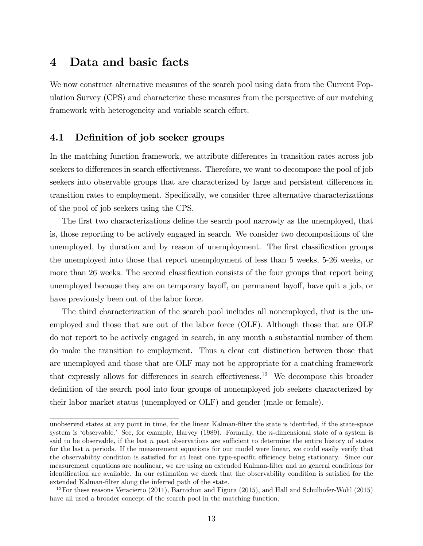## 4 Data and basic facts

We now construct alternative measures of the search pool using data from the Current Population Survey (CPS) and characterize these measures from the perspective of our matching framework with heterogeneity and variable search effort.

#### 4.1 Definition of job seeker groups

In the matching function framework, we attribute differences in transition rates across job seekers to differences in search effectiveness. Therefore, we want to decompose the pool of job seekers into observable groups that are characterized by large and persistent differences in transition rates to employment. Specifically, we consider three alternative characterizations of the pool of job seekers using the CPS.

The first two characterizations define the search pool narrowly as the unemployed, that is, those reporting to be actively engaged in search. We consider two decompositions of the unemployed, by duration and by reason of unemployment. The first classification groups the unemployed into those that report unemployment of less than 5 weeks, 5-26 weeks, or more than 26 weeks. The second classification consists of the four groups that report being unemployed because they are on temporary layoff, on permanent layoff, have quit a job, or have previously been out of the labor force.

The third characterization of the search pool includes all nonemployed, that is the unemployed and those that are out of the labor force (OLF). Although those that are OLF do not report to be actively engaged in search, in any month a substantial number of them do make the transition to employment. Thus a clear cut distinction between those that are unemployed and those that are OLF may not be appropriate for a matching framework that expressly allows for differences in search effectiveness.<sup>12</sup> We decompose this broader definition of the search pool into four groups of nonemployed job seekers characterized by their labor market status (unemployed or OLF) and gender (male or female).

unobserved states at any point in time, for the linear Kalman-filter the state is identified, if the state-space system is 'observable.' See, for example, Harvey  $(1989)$ . Formally, the *n*-dimensional state of a system is said to be observable, if the last  $n$  past observations are sufficient to determine the entire history of states for the last n periods. If the measurement equations for our model were linear, we could easily verify that the observability condition is satisfied for at least one type-specific efficiency being stationary. Since our measurement equations are nonlinear, we are using an extended Kalman-Ölter and no general conditions for identification are available. In our estimation we check that the observability condition is satisfied for the extended Kalman-Ölter along the inferred path of the state.

 $12$ For these reasons Veracierto (2011), Barnichon and Figura (2015), and Hall and Schulhofer-Wohl (2015) have all used a broader concept of the search pool in the matching function.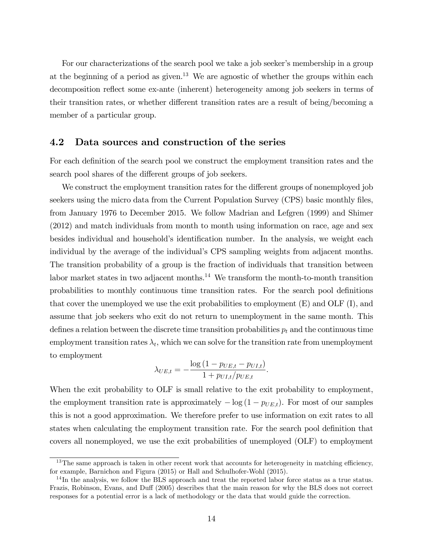For our characterizations of the search pool we take a job seeker's membership in a group at the beginning of a period as given.<sup>13</sup> We are agnostic of whether the groups within each decomposition reflect some ex-ante (inherent) heterogeneity among job seekers in terms of their transition rates, or whether different transition rates are a result of being/becoming a member of a particular group.

#### 4.2 Data sources and construction of the series

For each definition of the search pool we construct the employment transition rates and the search pool shares of the different groups of job seekers.

We construct the employment transition rates for the different groups of nonemployed job seekers using the micro data from the Current Population Survey (CPS) basic monthly files, from January 1976 to December 2015. We follow Madrian and Lefgren (1999) and Shimer (2012) and match individuals from month to month using information on race, age and sex besides individual and household's identification number. In the analysis, we weight each individual by the average of the individual's CPS sampling weights from adjacent months. The transition probability of a group is the fraction of individuals that transition between labor market states in two adjacent months.<sup>14</sup> We transform the month-to-month transition probabilities to monthly continuous time transition rates. For the search pool definitions that cover the unemployed we use the exit probabilities to employment  $(E)$  and  $OLF(I)$ , and assume that job seekers who exit do not return to unemployment in the same month. This defines a relation between the discrete time transition probabilities  $p_t$  and the continuous time employment transition rates  $\lambda_t$ , which we can solve for the transition rate from unemployment to employment

$$
\lambda_{UE,t} = -\frac{\log (1 - p_{UE,t} - p_{UI,t})}{1 + p_{UI,t}/p_{UE,t}}.
$$

When the exit probability to OLF is small relative to the exit probability to employment, the employment transition rate is approximately  $-\log(1 - p_{UE,t})$ . For most of our samples this is not a good approximation. We therefore prefer to use information on exit rates to all states when calculating the employment transition rate. For the search pool definition that covers all nonemployed, we use the exit probabilities of unemployed (OLF) to employment

 $13$ The same approach is taken in other recent work that accounts for heterogeneity in matching efficiency, for example, Barnichon and Figura (2015) or Hall and Schulhofer-Wohl (2015).

<sup>&</sup>lt;sup>14</sup>In the analysis, we follow the BLS approach and treat the reported labor force status as a true status. Frazis, Robinson, Evans, and Duff (2005) describes that the main reason for why the BLS does not correct responses for a potential error is a lack of methodology or the data that would guide the correction.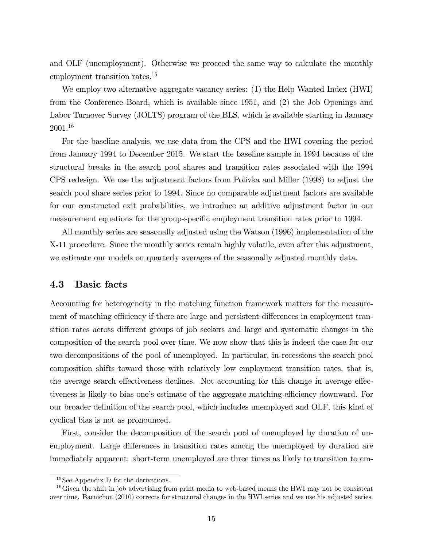and OLF (unemployment). Otherwise we proceed the same way to calculate the monthly employment transition rates.<sup>15</sup>

We employ two alternative aggregate vacancy series: (1) the Help Wanted Index (HWI) from the Conference Board, which is available since 1951, and (2) the Job Openings and Labor Turnover Survey (JOLTS) program of the BLS, which is available starting in January 2001.<sup>16</sup>

For the baseline analysis, we use data from the CPS and the HWI covering the period from January 1994 to December 2015. We start the baseline sample in 1994 because of the structural breaks in the search pool shares and transition rates associated with the 1994 CPS redesign. We use the adjustment factors from Polivka and Miller (1998) to adjust the search pool share series prior to 1994. Since no comparable adjustment factors are available for our constructed exit probabilities, we introduce an additive adjustment factor in our measurement equations for the group-specific employment transition rates prior to 1994.

All monthly series are seasonally adjusted using the Watson (1996) implementation of the X-11 procedure. Since the monthly series remain highly volatile, even after this adjustment, we estimate our models on quarterly averages of the seasonally adjusted monthly data.

#### 4.3 Basic facts

Accounting for heterogeneity in the matching function framework matters for the measurement of matching efficiency if there are large and persistent differences in employment transition rates across different groups of job seekers and large and systematic changes in the composition of the search pool over time. We now show that this is indeed the case for our two decompositions of the pool of unemployed. In particular, in recessions the search pool composition shifts toward those with relatively low employment transition rates, that is, the average search effectiveness declines. Not accounting for this change in average effectiveness is likely to bias one's estimate of the aggregate matching efficiency downward. For our broader definition of the search pool, which includes unemployed and OLF, this kind of cyclical bias is not as pronounced.

First, consider the decomposition of the search pool of unemployed by duration of unemployment. Large differences in transition rates among the unemployed by duration are immediately apparent: short-term unemployed are three times as likely to transition to em-

<sup>15</sup>See Appendix D for the derivations.

 $16\,\text{Given the shift in job advertising from print media to web-based means the HWI may not be consistent.}$ over time. Barnichon (2010) corrects for structural changes in the HWI series and we use his adjusted series.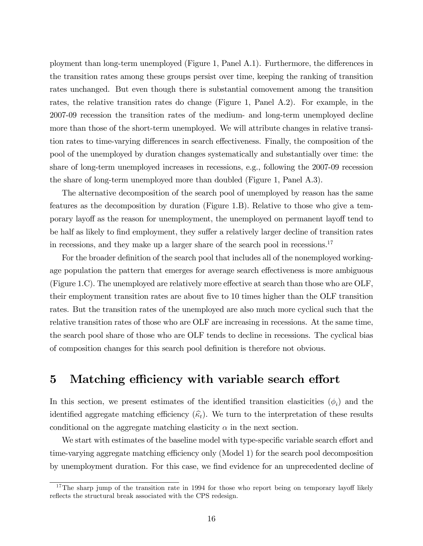ployment than long-term unemployed (Figure 1, Panel A.1). Furthermore, the differences in the transition rates among these groups persist over time, keeping the ranking of transition rates unchanged. But even though there is substantial comovement among the transition rates, the relative transition rates do change (Figure 1, Panel A.2). For example, in the 2007-09 recession the transition rates of the medium- and long-term unemployed decline more than those of the short-term unemployed. We will attribute changes in relative transition rates to time-varying differences in search effectiveness. Finally, the composition of the pool of the unemployed by duration changes systematically and substantially over time: the share of long-term unemployed increases in recessions, e.g., following the 2007-09 recession the share of long-term unemployed more than doubled (Figure 1, Panel A.3).

The alternative decomposition of the search pool of unemployed by reason has the same features as the decomposition by duration (Figure 1.B). Relative to those who give a temporary layoff as the reason for unemployment, the unemployed on permanent layoff tend to be half as likely to find employment, they suffer a relatively larger decline of transition rates in recessions, and they make up a larger share of the search pool in recessions.<sup>17</sup>

For the broader definition of the search pool that includes all of the nonemployed workingage population the pattern that emerges for average search effectiveness is more ambiguous (Figure 1.C). The unemployed are relatively more effective at search than those who are OLF, their employment transition rates are about Öve to 10 times higher than the OLF transition rates. But the transition rates of the unemployed are also much more cyclical such that the relative transition rates of those who are OLF are increasing in recessions. At the same time, the search pool share of those who are OLF tends to decline in recessions. The cyclical bias of composition changes for this search pool deÖnition is therefore not obvious.

## 5 Matching efficiency with variable search effort

In this section, we present estimates of the identified transition elasticities  $(\phi_i)$  and the identified aggregate matching efficiency  $(\widehat{k}_t)$ . We turn to the interpretation of these results conditional on the aggregate matching elasticity  $\alpha$  in the next section.

We start with estimates of the baseline model with type-specific variable search effort and time-varying aggregate matching efficiency only (Model 1) for the search pool decomposition by unemployment duration. For this case, we find evidence for an unprecedented decline of

<sup>&</sup>lt;sup>17</sup>The sharp jump of the transition rate in 1994 for those who report being on temporary layoff likely reflects the structural break associated with the CPS redesign.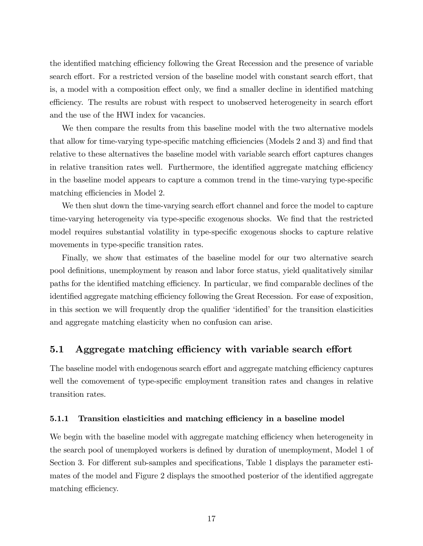the identified matching efficiency following the Great Recession and the presence of variable search effort. For a restricted version of the baseline model with constant search effort, that is, a model with a composition effect only, we find a smaller decline in identified matching efficiency. The results are robust with respect to unobserved heterogeneity in search effort and the use of the HWI index for vacancies.

We then compare the results from this baseline model with the two alternative models that allow for time-varying type-specific matching efficiencies (Models  $2$  and  $3$ ) and find that relative to these alternatives the baseline model with variable search effort captures changes in relative transition rates well. Furthermore, the identified aggregate matching efficiency in the baseline model appears to capture a common trend in the time-varying type-specific matching efficiencies in Model 2.

We then shut down the time-varying search effort channel and force the model to capture time-varying heterogeneity via type-specific exogenous shocks. We find that the restricted model requires substantial volatility in type-specific exogenous shocks to capture relative movements in type-specific transition rates.

Finally, we show that estimates of the baseline model for our two alternative search pool definitions, unemployment by reason and labor force status, yield qualitatively similar paths for the identified matching efficiency. In particular, we find comparable declines of the identified aggregate matching efficiency following the Great Recession. For ease of exposition, in this section we will frequently drop the qualifier 'identified' for the transition elasticities and aggregate matching elasticity when no confusion can arise.

#### 5.1 Aggregate matching efficiency with variable search effort

The baseline model with endogenous search effort and aggregate matching efficiency captures well the comovement of type-specific employment transition rates and changes in relative transition rates.

#### 5.1.1 Transition elasticities and matching efficiency in a baseline model

We begin with the baseline model with aggregate matching efficiency when heterogeneity in the search pool of unemployed workers is defined by duration of unemployment, Model 1 of Section 3. For different sub-samples and specifications, Table 1 displays the parameter estimates of the model and Figure 2 displays the smoothed posterior of the identified aggregate matching efficiency.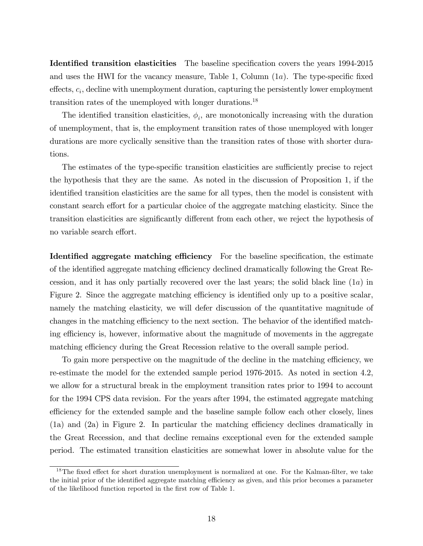Identified transition elasticities The baseline specification covers the years 1994-2015 and uses the HWI for the vacancy measure, Table 1, Column  $(1a)$ . The type-specific fixed  $\theta$ effects,  $c_i$ , decline with unemployment duration, capturing the persistently lower employment transition rates of the unemployed with longer durations.<sup>18</sup>

The identified transition elasticities,  $\phi_i$ , are monotonically increasing with the duration of unemployment, that is, the employment transition rates of those unemployed with longer durations are more cyclically sensitive than the transition rates of those with shorter durations.

The estimates of the type-specific transition elasticities are sufficiently precise to reject the hypothesis that they are the same. As noted in the discussion of Proposition 1, if the identified transition elasticities are the same for all types, then the model is consistent with constant search effort for a particular choice of the aggregate matching elasticity. Since the transition elasticities are significantly different from each other, we reject the hypothesis of no variable search effort.

Identified aggregate matching efficiency For the baseline specification, the estimate of the identified aggregate matching efficiency declined dramatically following the Great Recession, and it has only partially recovered over the last years; the solid black line  $(1a)$  in Figure 2. Since the aggregate matching efficiency is identified only up to a positive scalar, namely the matching elasticity, we will defer discussion of the quantitative magnitude of changes in the matching efficiency to the next section. The behavior of the identified matching efficiency is, however, informative about the magnitude of movements in the aggregate matching efficiency during the Great Recession relative to the overall sample period.

To gain more perspective on the magnitude of the decline in the matching efficiency, we re-estimate the model for the extended sample period 1976-2015. As noted in section 4.2, we allow for a structural break in the employment transition rates prior to 1994 to account for the 1994 CPS data revision. For the years after 1994, the estimated aggregate matching efficiency for the extended sample and the baseline sample follow each other closely, lines  $(1a)$  and  $(2a)$  in Figure 2. In particular the matching efficiency declines dramatically in the Great Recession, and that decline remains exceptional even for the extended sample period. The estimated transition elasticities are somewhat lower in absolute value for the

 $18$ The fixed effect for short duration unemployment is normalized at one. For the Kalman-filter, we take the initial prior of the identified aggregate matching efficiency as given, and this prior becomes a parameter of the likelihood function reported in the first row of Table 1.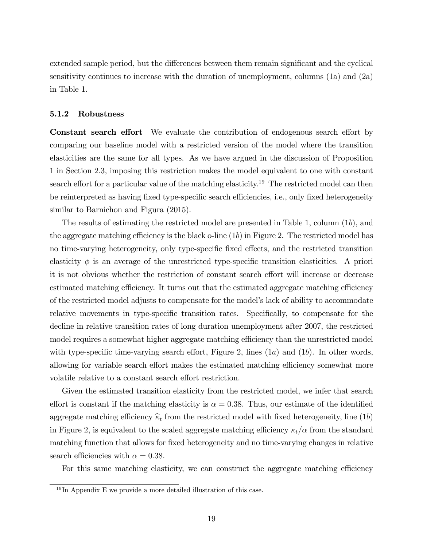extended sample period, but the differences between them remain significant and the cyclical sensitivity continues to increase with the duration of unemployment, columns (1a) and (2a) in Table 1.

#### 5.1.2 Robustness

Constant search effort We evaluate the contribution of endogenous search effort by comparing our baseline model with a restricted version of the model where the transition elasticities are the same for all types. As we have argued in the discussion of Proposition 1 in Section 2.3, imposing this restriction makes the model equivalent to one with constant search effort for a particular value of the matching elasticity.<sup>19</sup> The restricted model can then be reinterpreted as having fixed type-specific search efficiencies, i.e., only fixed heterogeneity similar to Barnichon and Figura (2015).

The results of estimating the restricted model are presented in Table 1, column (1b), and the aggregate matching efficiency is the black o-line  $(1b)$  in Figure 2. The restricted model has no time-varying heterogeneity, only type-specific fixed effects, and the restricted transition elasticity  $\phi$  is an average of the unrestricted type-specific transition elasticities. A priori it is not obvious whether the restriction of constant search effort will increase or decrease estimated matching efficiency. It turns out that the estimated aggregate matching efficiency of the restricted model adjusts to compensate for the modelís lack of ability to accommodate relative movements in type-specific transition rates. Specifically, to compensate for the decline in relative transition rates of long duration unemployment after 2007, the restricted model requires a somewhat higher aggregate matching efficiency than the unrestricted model with type-specific time-varying search effort, Figure 2, lines  $(1a)$  and  $(1b)$ . In other words, allowing for variable search effort makes the estimated matching efficiency somewhat more volatile relative to a constant search effort restriction.

Given the estimated transition elasticity from the restricted model, we infer that search effort is constant if the matching elasticity is  $\alpha = 0.38$ . Thus, our estimate of the identified aggregate matching efficiency  $\hat{\kappa}_t$  from the restricted model with fixed heterogeneity, line (1b) in Figure 2, is equivalent to the scaled aggregate matching efficiency  $\kappa_t/\alpha$  from the standard matching function that allows for fixed heterogeneity and no time-varying changes in relative search efficiencies with  $\alpha = 0.38$ .

For this same matching elasticity, we can construct the aggregate matching efficiency

 $19$ In Appendix E we provide a more detailed illustration of this case.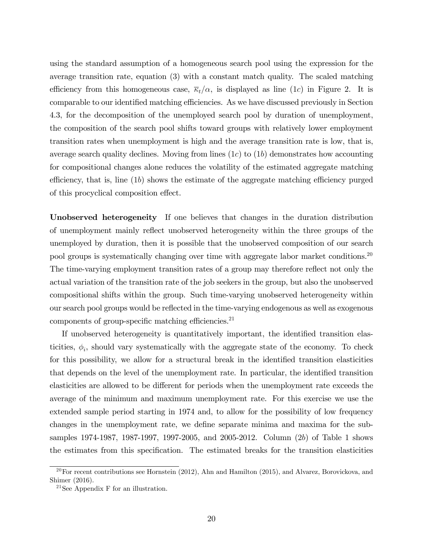using the standard assumption of a homogeneous search pool using the expression for the average transition rate, equation (3) with a constant match quality. The scaled matching efficiency from this homogeneous case,  $\overline{\kappa}_t/\alpha$ , is displayed as line (1c) in Figure 2. It is comparable to our identified matching efficiencies. As we have discussed previously in Section 4.3, for the decomposition of the unemployed search pool by duration of unemployment, the composition of the search pool shifts toward groups with relatively lower employment transition rates when unemployment is high and the average transition rate is low, that is, average search quality declines. Moving from lines  $(1c)$  to  $(1b)$  demonstrates how accounting for compositional changes alone reduces the volatility of the estimated aggregate matching efficiency, that is, line  $(1b)$  shows the estimate of the aggregate matching efficiency purged of this procyclical composition effect.

Unobserved heterogeneity If one believes that changes in the duration distribution of unemployment mainly reflect unobserved heterogeneity within the three groups of the unemployed by duration, then it is possible that the unobserved composition of our search pool groups is systematically changing over time with aggregate labor market conditions.<sup>20</sup> The time-varying employment transition rates of a group may therefore reflect not only the actual variation of the transition rate of the job seekers in the group, but also the unobserved compositional shifts within the group. Such time-varying unobserved heterogeneity within our search pool groups would be reflected in the time-varying endogenous as well as exogenous components of group-specific matching efficiencies. $^{21}$ 

If unobserved heterogeneity is quantitatively important, the identified transition elasticities,  $\phi_i$ , should vary systematically with the aggregate state of the economy. To check for this possibility, we allow for a structural break in the identified transition elasticities that depends on the level of the unemployment rate. In particular, the identified transition elasticities are allowed to be different for periods when the unemployment rate exceeds the average of the minimum and maximum unemployment rate. For this exercise we use the extended sample period starting in 1974 and, to allow for the possibility of low frequency changes in the unemployment rate, we define separate minima and maxima for the subsamples 1974-1987, 1987-1997, 1997-2005, and 2005-2012. Column (2b) of Table 1 shows the estimates from this specification. The estimated breaks for the transition elasticities

 $20$ For recent contributions see Hornstein (2012), Ahn and Hamilton (2015), and Alvarez, Borovickova, and Shimer (2016).

 $21$ See Appendix F for an illustration.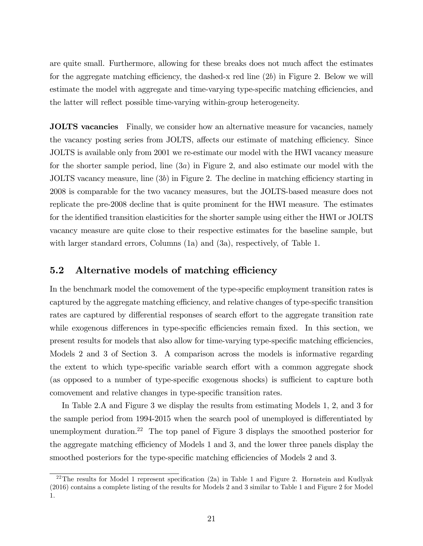are quite small. Furthermore, allowing for these breaks does not much affect the estimates for the aggregate matching efficiency, the dashed-x red line  $(2b)$  in Figure 2. Below we will estimate the model with aggregate and time-varying type-specific matching efficiencies, and the latter will reflect possible time-varying within-group heterogeneity.

JOLTS vacancies Finally, we consider how an alternative measure for vacancies, namely the vacancy posting series from JOLTS, affects our estimate of matching efficiency. Since JOLTS is available only from 2001 we re-estimate our model with the HWI vacancy measure for the shorter sample period, line (3a) in Figure 2, and also estimate our model with the JOLTS vacancy measure, line  $(3b)$  in Figure 2. The decline in matching efficiency starting in 2008 is comparable for the two vacancy measures, but the JOLTS-based measure does not replicate the pre-2008 decline that is quite prominent for the HWI measure. The estimates for the identified transition elasticities for the shorter sample using either the HWI or JOLTS vacancy measure are quite close to their respective estimates for the baseline sample, but with larger standard errors, Columns (1a) and (3a), respectively, of Table 1.

#### 5.2 Alternative models of matching efficiency

In the benchmark model the comovement of the type-specific employment transition rates is captured by the aggregate matching efficiency, and relative changes of type-specific transition rates are captured by differential responses of search effort to the aggregate transition rate while exogenous differences in type-specific efficiencies remain fixed. In this section, we present results for models that also allow for time-varying type-specific matching efficiencies, Models 2 and 3 of Section 3. A comparison across the models is informative regarding the extent to which type-specific variable search effort with a common aggregate shock (as opposed to a number of type-specific exogenous shocks) is sufficient to capture both comovement and relative changes in type-specific transition rates.

In Table 2.A and Figure 3 we display the results from estimating Models 1, 2, and 3 for the sample period from 1994-2015 when the search pool of unemployed is differentiated by unemployment duration.<sup>22</sup> The top panel of Figure 3 displays the smoothed posterior for the aggregate matching efficiency of Models 1 and 3, and the lower three panels display the smoothed posteriors for the type-specific matching efficiencies of Models 2 and 3.

<sup>&</sup>lt;sup>22</sup>The results for Model 1 represent specification (2a) in Table 1 and Figure 2. Hornstein and Kudlyak (2016) contains a complete listing of the results for Models 2 and 3 similar to Table 1 and Figure 2 for Model 1.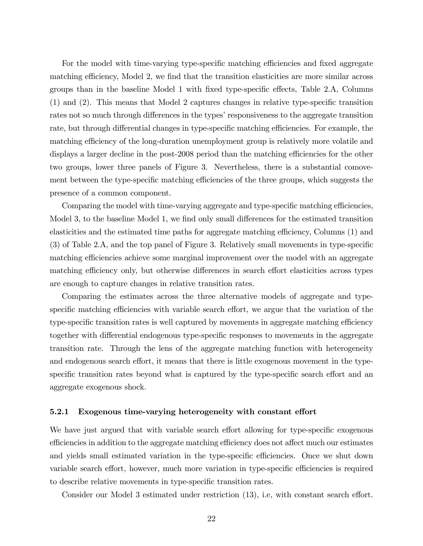For the model with time-varying type-specific matching efficiencies and fixed aggregate matching efficiency, Model 2, we find that the transition elasticities are more similar across groups than in the baseline Model 1 with fixed type-specific effects, Table 2.A, Columns  $(1)$  and  $(2)$ . This means that Model 2 captures changes in relative type-specific transition rates not so much through differences in the types' responsiveness to the aggregate transition rate, but through differential changes in type-specific matching efficiencies. For example, the matching efficiency of the long-duration unemployment group is relatively more volatile and displays a larger decline in the post-2008 period than the matching efficiencies for the other two groups, lower three panels of Figure 3. Nevertheless, there is a substantial comovement between the type-specific matching efficiencies of the three groups, which suggests the presence of a common component.

Comparing the model with time-varying aggregate and type-specific matching efficiencies, Model 3, to the baseline Model 1, we find only small differences for the estimated transition elasticities and the estimated time paths for aggregate matching efficiency, Columns (1) and (3) of Table 2.A, and the top panel of Figure 3. Relatively small movements in type-speciÖc matching efficiencies achieve some marginal improvement over the model with an aggregate matching efficiency only, but otherwise differences in search effort elasticities across types are enough to capture changes in relative transition rates.

Comparing the estimates across the three alternative models of aggregate and typespecific matching efficiencies with variable search effort, we argue that the variation of the type-specific transition rates is well captured by movements in aggregate matching efficiency together with differential endogenous type-specific responses to movements in the aggregate transition rate. Through the lens of the aggregate matching function with heterogeneity and endogenous search effort, it means that there is little exogenous movement in the typespecific transition rates beyond what is captured by the type-specific search effort and an aggregate exogenous shock.

#### 5.2.1 Exogenous time-varying heterogeneity with constant effort

We have just argued that with variable search effort allowing for type-specific exogenous efficiencies in addition to the aggregate matching efficiency does not affect much our estimates and yields small estimated variation in the type-specific efficiencies. Once we shut down variable search effort, however, much more variation in type-specific efficiencies is required to describe relative movements in type-specific transition rates.

Consider our Model 3 estimated under restriction (13), i.e, with constant search effort.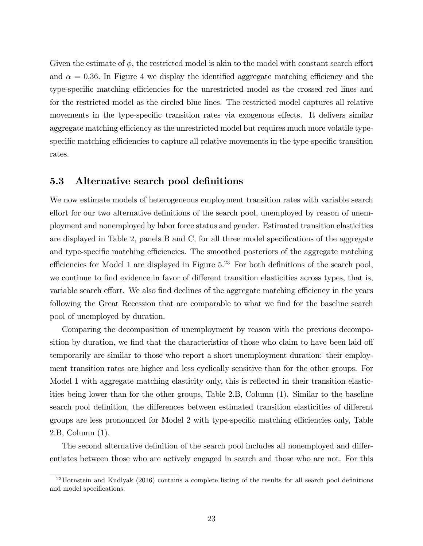Given the estimate of  $\phi$ , the restricted model is akin to the model with constant search effort and  $\alpha = 0.36$ . In Figure 4 we display the identified aggregate matching efficiency and the type-specific matching efficiencies for the unrestricted model as the crossed red lines and for the restricted model as the circled blue lines. The restricted model captures all relative movements in the type-specific transition rates via exogenous effects. It delivers similar aggregate matching efficiency as the unrestricted model but requires much more volatile typespecific matching efficiencies to capture all relative movements in the type-specific transition rates.

#### 5.3 Alternative search pool definitions

We now estimate models of heterogeneous employment transition rates with variable search effort for our two alternative definitions of the search pool, unemployed by reason of unemployment and nonemployed by labor force status and gender. Estimated transition elasticities are displayed in Table 2, panels  $B$  and  $C$ , for all three model specifications of the aggregate and type-specific matching efficiencies. The smoothed posteriors of the aggregate matching efficiencies for Model 1 are displayed in Figure  $5<sup>23</sup>$  For both definitions of the search pool, we continue to find evidence in favor of different transition elasticities across types, that is, variable search effort. We also find declines of the aggregate matching efficiency in the years following the Great Recession that are comparable to what we find for the baseline search pool of unemployed by duration.

Comparing the decomposition of unemployment by reason with the previous decomposition by duration, we find that the characteristics of those who claim to have been laid off temporarily are similar to those who report a short unemployment duration: their employment transition rates are higher and less cyclically sensitive than for the other groups. For Model 1 with aggregate matching elasticity only, this is reflected in their transition elasticities being lower than for the other groups, Table 2.B, Column (1). Similar to the baseline search pool definition, the differences between estimated transition elasticities of different groups are less pronounced for Model 2 with type-specific matching efficiencies only, Table 2.B, Column (1).

The second alternative definition of the search pool includes all nonemployed and differentiates between those who are actively engaged in search and those who are not. For this

 $^{23}$ Hornstein and Kudlyak (2016) contains a complete listing of the results for all search pool definitions and model specifications.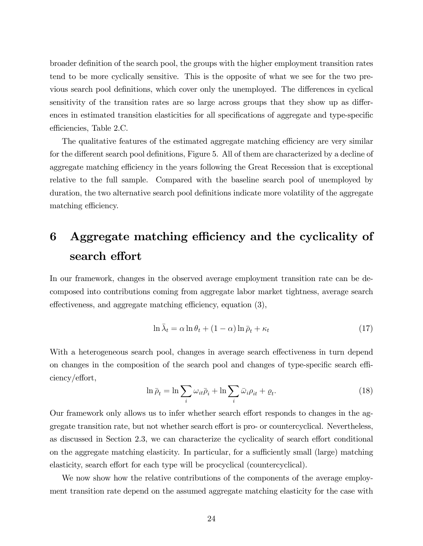broader definition of the search pool, the groups with the higher employment transition rates tend to be more cyclically sensitive. This is the opposite of what we see for the two previous search pool definitions, which cover only the unemployed. The differences in cyclical sensitivity of the transition rates are so large across groups that they show up as differences in estimated transition elasticities for all specifications of aggregate and type-specific efficiencies, Table 2.C.

The qualitative features of the estimated aggregate matching efficiency are very similar for the different search pool definitions, Figure 5. All of them are characterized by a decline of aggregate matching efficiency in the years following the Great Recession that is exceptional relative to the full sample. Compared with the baseline search pool of unemployed by duration, the two alternative search pool definitions indicate more volatility of the aggregate matching efficiency.

# 6 Aggregate matching efficiency and the cyclicality of search effort

In our framework, changes in the observed average employment transition rate can be decomposed into contributions coming from aggregate labor market tightness, average search effectiveness, and aggregate matching efficiency, equation  $(3)$ ,

$$
\ln \bar{\lambda}_t = \alpha \ln \theta_t + (1 - \alpha) \ln \bar{\rho}_t + \kappa_t \tag{17}
$$

With a heterogeneous search pool, changes in average search effectiveness in turn depend on changes in the composition of the search pool and changes of type-specific search efficiency/effort,

$$
\ln \bar{\rho}_t = \ln \sum_i \omega_{it} \bar{\rho}_i + \ln \sum_i \bar{\omega}_i \rho_{it} + \varrho_t.
$$
\n(18)

Our framework only allows us to infer whether search effort responds to changes in the aggregate transition rate, but not whether search effort is pro- or countercyclical. Nevertheless, as discussed in Section 2.3, we can characterize the cyclicality of search effort conditional on the aggregate matching elasticity. In particular, for a sufficiently small (large) matching elasticity, search effort for each type will be procyclical (countercyclical).

We now show how the relative contributions of the components of the average employment transition rate depend on the assumed aggregate matching elasticity for the case with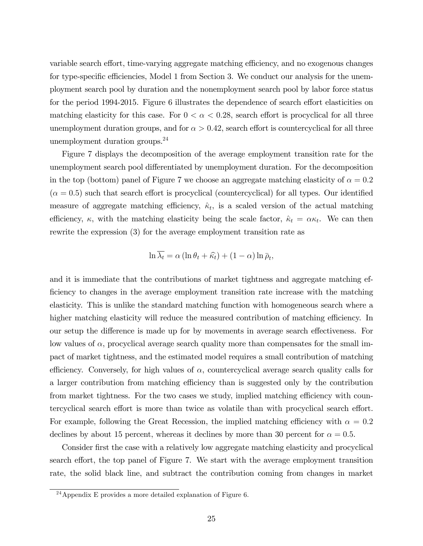variable search effort, time-varying aggregate matching efficiency, and no exogenous changes for type-specific efficiencies, Model 1 from Section 3. We conduct our analysis for the unemployment search pool by duration and the nonemployment search pool by labor force status for the period 1994-2015. Figure 6 illustrates the dependence of search effort elasticities on matching elasticity for this case. For  $0 < \alpha < 0.28$ , search effort is procyclical for all three unemployment duration groups, and for  $\alpha > 0.42$ , search effort is countercyclical for all three unemployment duration groups.<sup>24</sup>

Figure 7 displays the decomposition of the average employment transition rate for the unemployment search pool differentiated by unemployment duration. For the decomposition in the top (bottom) panel of Figure 7 we choose an aggregate matching elasticity of  $\alpha = 0.2$  $(\alpha = 0.5)$  such that search effort is procyclical (countercyclical) for all types. Our identified measure of aggregate matching efficiency,  $\hat{\kappa}_t$ , is a scaled version of the actual matching efficiency,  $\kappa$ , with the matching elasticity being the scale factor,  $\hat{\kappa}_t = \alpha \kappa_t$ . We can then rewrite the expression (3) for the average employment transition rate as

$$
\ln \overline{\lambda_t} = \alpha \left( \ln \theta_t + \widehat{\kappa_t} \right) + (1 - \alpha) \ln \overline{\rho}_t,
$$

and it is immediate that the contributions of market tightness and aggregate matching efficiency to changes in the average employment transition rate increase with the matching elasticity. This is unlike the standard matching function with homogeneous search where a higher matching elasticity will reduce the measured contribution of matching efficiency. In our setup the difference is made up for by movements in average search effectiveness. For low values of  $\alpha$ , procyclical average search quality more than compensates for the small impact of market tightness, and the estimated model requires a small contribution of matching efficiency. Conversely, for high values of  $\alpha$ , countercyclical average search quality calls for a larger contribution from matching efficiency than is suggested only by the contribution from market tightness. For the two cases we study, implied matching efficiency with countercyclical search effort is more than twice as volatile than with procyclical search effort. For example, following the Great Recession, the implied matching efficiency with  $\alpha = 0.2$ declines by about 15 percent, whereas it declines by more than 30 percent for  $\alpha = 0.5$ .

Consider first the case with a relatively low aggregate matching elasticity and procyclical search effort, the top panel of Figure 7. We start with the average employment transition rate, the solid black line, and subtract the contribution coming from changes in market

 $^{24}$ Appendix E provides a more detailed explanation of Figure 6.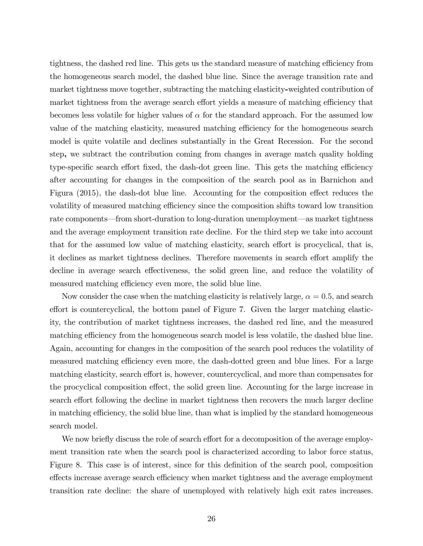tightness, the dashed red line. This gets us the standard measure of matching efficiency from the homogeneous search model, the dashed blue line. Since the average transition rate and market tightness move together, subtracting the matching elasticity-weighted contribution of market tightness from the average search effort yields a measure of matching efficiency that becomes less volatile for higher values of  $\alpha$  for the standard approach. For the assumed low value of the matching elasticity, measured matching efficiency for the homogeneous search model is quite volatile and declines substantially in the Great Recession. For the second step, we subtract the contribution coming from changes in average match quality holding type-specific search effort fixed, the dash-dot green line. This gets the matching efficiency after accounting for changes in the composition of the search pool as in Barnichon and Figura (2015), the dash-dot blue line. Accounting for the composition effect reduces the volatility of measured matching efficiency since the composition shifts toward low transition rate components—from short-duration to long-duration unemployment—as market tightness and the average employment transition rate decline. For the third step we take into account that for the assumed low value of matching elasticity, search effort is procyclical, that is, it declines as market tightness declines. Therefore movements in search effort amplify the decline in average search effectiveness, the solid green line, and reduce the volatility of measured matching efficiency even more, the solid blue line.

Now consider the case when the matching elasticity is relatively large,  $\alpha = 0.5$ , and search effort is countercyclical, the bottom panel of Figure 7. Given the larger matching elasticity, the contribution of market tightness increases, the dashed red line, and the measured matching efficiency from the homogeneous search model is less volatile, the dashed blue line. Again, accounting for changes in the composition of the search pool reduces the volatility of measured matching efficiency even more, the dash-dotted green and blue lines. For a large matching elasticity, search effort is, however, countercyclical, and more than compensates for the procyclical composition effect, the solid green line. Accounting for the large increase in search effort following the decline in market tightness then recovers the much larger decline in matching efficiency, the solid blue line, than what is implied by the standard homogeneous search model.

We now briefly discuss the role of search effort for a decomposition of the average employment transition rate when the search pool is characterized according to labor force status, Figure 8. This case is of interest, since for this definition of the search pool, composition effects increase average search efficiency when market tightness and the average employment transition rate decline: the share of unemployed with relatively high exit rates increases.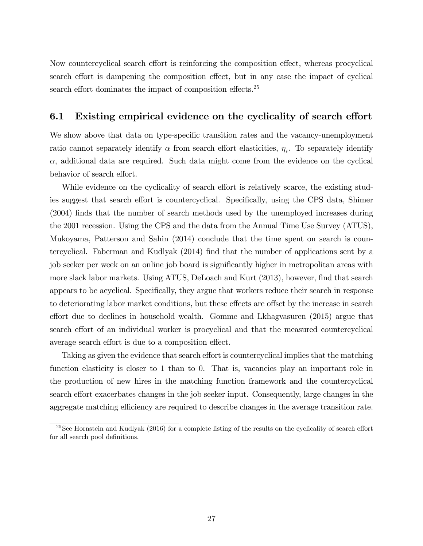Now countercyclical search effort is reinforcing the composition effect, whereas procyclical search effort is dampening the composition effect, but in any case the impact of cyclical search effort dominates the impact of composition effects.<sup>25</sup>

#### 6.1 Existing empirical evidence on the cyclicality of search effort

We show above that data on type-specific transition rates and the vacancy-unemployment ratio cannot separately identify  $\alpha$  from search effort elasticities,  $\eta_i$ . To separately identify  $\alpha$ , additional data are required. Such data might come from the evidence on the cyclical behavior of search effort.

While evidence on the cyclicality of search effort is relatively scarce, the existing studies suggest that search effort is countercyclical. Specifically, using the CPS data, Shimer (2004) finds that the number of search methods used by the unemployed increases during the 2001 recession. Using the CPS and the data from the Annual Time Use Survey (ATUS), Mukoyama, Patterson and Sahin (2014) conclude that the time spent on search is countercyclical. Faberman and Kudlyak (2014) find that the number of applications sent by a job seeker per week on an online job board is significantly higher in metropolitan areas with more slack labor markets. Using ATUS, DeLoach and Kurt (2013), however, find that search appears to be acyclical. Specifically, they argue that workers reduce their search in response to deteriorating labor market conditions, but these effects are offset by the increase in search effort due to declines in household wealth. Gomme and Lkhagvasuren  $(2015)$  argue that search effort of an individual worker is procyclical and that the measured countercyclical average search effort is due to a composition effect.

Taking as given the evidence that search effort is countercyclical implies that the matching function elasticity is closer to 1 than to 0. That is, vacancies play an important role in the production of new hires in the matching function framework and the countercyclical search effort exacerbates changes in the job seeker input. Consequently, large changes in the aggregate matching efficiency are required to describe changes in the average transition rate.

 $^{25}$ See Hornstein and Kudlyak (2016) for a complete listing of the results on the cyclicality of search effort for all search pool definitions.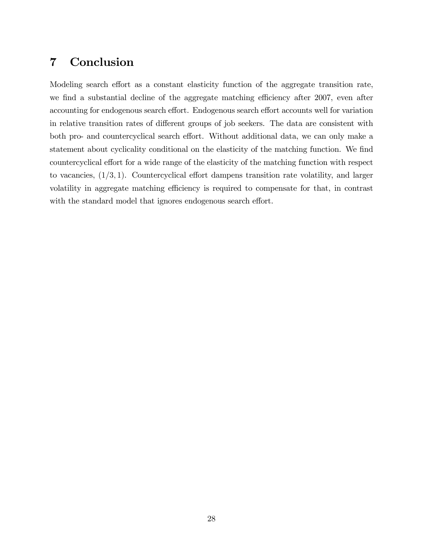## 7 Conclusion

Modeling search effort as a constant elasticity function of the aggregate transition rate, we find a substantial decline of the aggregate matching efficiency after 2007, even after accounting for endogenous search effort. Endogenous search effort accounts well for variation in relative transition rates of different groups of job seekers. The data are consistent with both pro- and countercyclical search effort. Without additional data, we can only make a statement about cyclicality conditional on the elasticity of the matching function. We find countercyclical effort for a wide range of the elasticity of the matching function with respect to vacancies,  $(1/3, 1)$ . Countercyclical effort dampens transition rate volatility, and larger volatility in aggregate matching efficiency is required to compensate for that, in contrast with the standard model that ignores endogenous search effort.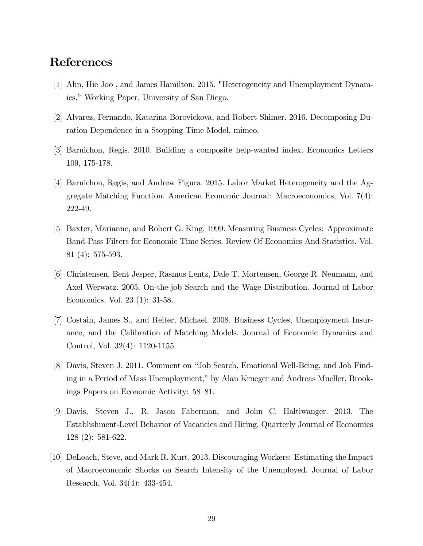## References

- [1] Ahn, Hie Joo , and James Hamilton. 2015. "Heterogeneity and Unemployment Dynamics," Working Paper, University of San Diego.
- [2] Alvarez, Fernando, Katarina Borovickova, and Robert Shimer. 2016. Decomposing Duration Dependence in a Stopping Time Model, mimeo.
- [3] Barnichon, Regis. 2010. Building a composite help-wanted index. Economics Letters 109, 175-178.
- [4] Barnichon, Regis, and Andrew Figura. 2015. Labor Market Heterogeneity and the Aggregate Matching Function. American Economic Journal: Macroeconomics, Vol. 7(4): 222-49.
- [5] Baxter, Marianne, and Robert G. King. 1999. Measuring Business Cycles: Approximate Band-Pass Filters for Economic Time Series. Review Of Economics And Statistics. Vol. 81 (4): 575-593.
- [6] Christensen, Bent Jesper, Rasmus Lentz, Dale T. Mortensen, George R. Neumann, and Axel Werwatz. 2005. On-the-job Search and the Wage Distribution. Journal of Labor Economics, Vol. 23 (1): 31-58.
- [7] Costain, James S., and Reiter, Michael. 2008. Business Cycles, Unemployment Insurance, and the Calibration of Matching Models. Journal of Economic Dynamics and Control, Vol. 32(4): 1120-1155.
- [8] Davis, Steven J. 2011. Comment on "Job Search, Emotional Well-Being, and Job Finding in a Period of Mass Unemployment," by Alan Krueger and Andreas Mueller, Brookings Papers on Economic Activity:  $58-81$ .
- [9] Davis, Steven J., R. Jason Faberman, and John C. Haltiwanger. 2013. The Establishment-Level Behavior of Vacancies and Hiring. Quarterly Journal of Economics 128 (2): 581-622.
- [10] DeLoach, Steve, and Mark R. Kurt. 2013. Discouraging Workers: Estimating the Impact of Macroeconomic Shocks on Search Intensity of the Unemployed. Journal of Labor Research, Vol. 34(4): 433-454.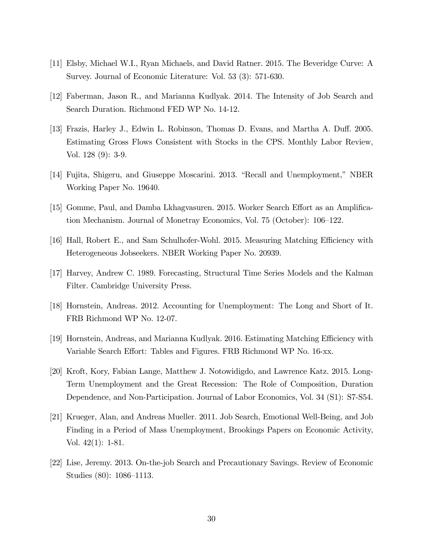- [11] Elsby, Michael W.I., Ryan Michaels, and David Ratner. 2015. The Beveridge Curve: A Survey. Journal of Economic Literature: Vol. 53 (3): 571-630.
- [12] Faberman, Jason R., and Marianna Kudlyak. 2014. The Intensity of Job Search and Search Duration. Richmond FED WP No. 14-12.
- [13] Frazis, Harley J., Edwin L. Robinson, Thomas D. Evans, and Martha A. Duff. 2005. Estimating Gross Flows Consistent with Stocks in the CPS. Monthly Labor Review, Vol. 128 (9): 3-9.
- [14] Fujita, Shigeru, and Giuseppe Moscarini. 2013. "Recall and Unemployment," NBER Working Paper No. 19640.
- [15] Gomme, Paul, and Damba Lkhagvasuren. 2015. Worker Search Effort as an Amplification Mechanism. Journal of Monetray Economics, Vol. 75 (October):  $106-122$ .
- [16] Hall, Robert E., and Sam Schulhofer-Wohl. 2015. Measuring Matching Efficiency with Heterogeneous Jobseekers. NBER Working Paper No. 20939.
- [17] Harvey, Andrew C. 1989. Forecasting, Structural Time Series Models and the Kalman Filter. Cambridge University Press.
- [18] Hornstein, Andreas. 2012. Accounting for Unemployment: The Long and Short of It. FRB Richmond WP No. 12-07.
- [19] Hornstein, Andreas, and Marianna Kudlyak. 2016. Estimating Matching Efficiency with Variable Search Effort: Tables and Figures. FRB Richmond WP No. 16-xx.
- [20] Kroft, Kory, Fabian Lange, Matthew J. Notowidigdo, and Lawrence Katz. 2015. Long-Term Unemployment and the Great Recession: The Role of Composition, Duration Dependence, and Non-Participation. Journal of Labor Economics, Vol. 34 (S1): S7-S54.
- [21] Krueger, Alan, and Andreas Mueller. 2011. Job Search, Emotional Well-Being, and Job Finding in a Period of Mass Unemployment, Brookings Papers on Economic Activity, Vol. 42(1): 1-81.
- [22] Lise, Jeremy. 2013. On-the-job Search and Precautionary Savings. Review of Economic Studies  $(80)$ : 1086–1113.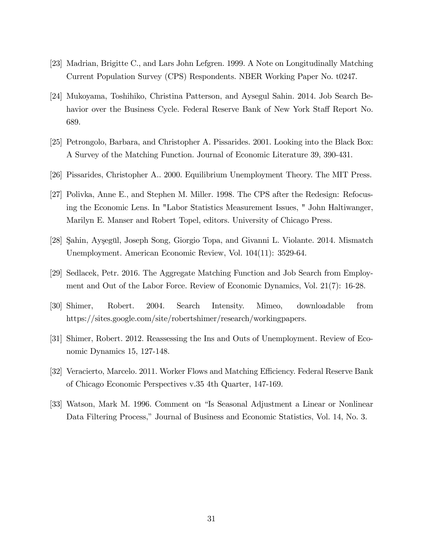- [23] Madrian, Brigitte C., and Lars John Lefgren. 1999. A Note on Longitudinally Matching Current Population Survey (CPS) Respondents. NBER Working Paper No. t0247.
- [24] Mukoyama, Toshihiko, Christina Patterson, and Aysegul Sahin. 2014. Job Search Behavior over the Business Cycle. Federal Reserve Bank of New York Staff Report No. 689.
- [25] Petrongolo, Barbara, and Christopher A. Pissarides. 2001. Looking into the Black Box: A Survey of the Matching Function. Journal of Economic Literature 39, 390-431.
- [26] Pissarides, Christopher A.. 2000. Equilibrium Unemployment Theory. The MIT Press.
- [27] Polivka, Anne E., and Stephen M. Miller. 1998. The CPS after the Redesign: Refocusing the Economic Lens. In "Labor Statistics Measurement Issues, " John Haltiwanger, Marilyn E. Manser and Robert Topel, editors. University of Chicago Press.
- [28] Şahin, Ayşegül, Joseph Song, Giorgio Topa, and Givanni L. Violante. 2014. Mismatch Unemployment. American Economic Review, Vol. 104(11): 3529-64.
- [29] Sedlacek, Petr. 2016. The Aggregate Matching Function and Job Search from Employment and Out of the Labor Force. Review of Economic Dynamics, Vol. 21(7): 16-28.
- [30] Shimer, Robert. 2004. Search Intensity. Mimeo, downloadable from https://sites.google.com/site/robertshimer/research/workingpapers.
- [31] Shimer, Robert. 2012. Reassessing the Ins and Outs of Unemployment. Review of Economic Dynamics 15, 127-148.
- [32] Veracierto, Marcelo. 2011. Worker Flows and Matching Efficiency. Federal Reserve Bank of Chicago Economic Perspectives v.35 4th Quarter, 147-169.
- [33] Watson, Mark M. 1996. Comment on "Is Seasonal Adjustment a Linear or Nonlinear Data Filtering Process," Journal of Business and Economic Statistics, Vol. 14, No. 3.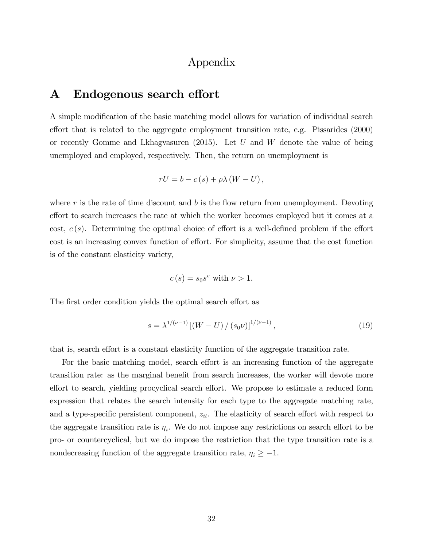## Appendix

### A Endogenous search effort

A simple modification of the basic matching model allows for variation of individual search effort that is related to the aggregate employment transition rate, e.g. Pissarides  $(2000)$ or recently Gomme and Lkhagvasuren (2015). Let U and W denote the value of being unemployed and employed, respectively. Then, the return on unemployment is

$$
rU = b - c(s) + \rho \lambda (W - U),
$$

where r is the rate of time discount and b is the flow return from unemployment. Devoting effort to search increases the rate at which the worker becomes employed but it comes at a cost,  $c(s)$ . Determining the optimal choice of effort is a well-defined problem if the effort cost is an increasing convex function of effort. For simplicity, assume that the cost function is of the constant elasticity variety,

$$
c(s) = s_0 s^v
$$
 with  $\nu > 1$ .

The first order condition yields the optimal search effort as

$$
s = \lambda^{1/(\nu - 1)} \left[ (W - U) / (s_0 \nu) \right]^{1/(\nu - 1)},
$$
\n(19)

that is, search effort is a constant elasticity function of the aggregate transition rate.

For the basic matching model, search effort is an increasing function of the aggregate transition rate: as the marginal benefit from search increases, the worker will devote more effort to search, yielding procyclical search effort. We propose to estimate a reduced form expression that relates the search intensity for each type to the aggregate matching rate, and a type-specific persistent component,  $z_{it}$ . The elasticity of search effort with respect to the aggregate transition rate is  $\eta_i$ . We do not impose any restrictions on search effort to be pro- or countercyclical, but we do impose the restriction that the type transition rate is a nondecreasing function of the aggregate transition rate,  $\eta_i \geq -1$ .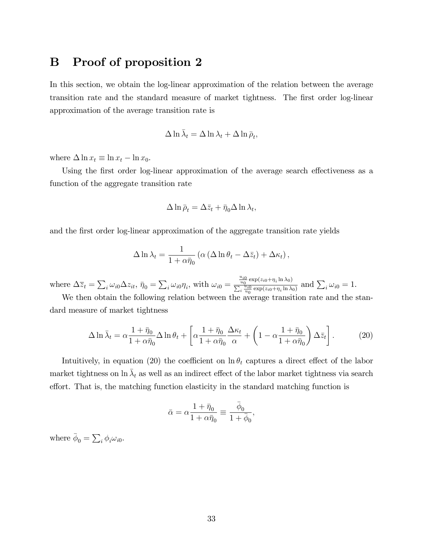## B Proof of proposition 2

In this section, we obtain the log-linear approximation of the relation between the average transition rate and the standard measure of market tightness. The first order log-linear approximation of the average transition rate is

$$
\Delta \ln \bar{\lambda}_t = \Delta \ln \lambda_t + \Delta \ln \bar{\rho}_t,
$$

where  $\Delta \ln x_t \equiv \ln x_t - \ln x_0$ .

Using the first order log-linear approximation of the average search effectiveness as a function of the aggregate transition rate

$$
\Delta \ln \bar{\rho}_t = \Delta \bar{z}_t + \bar{\eta}_0 \Delta \ln \lambda_t,
$$

and the first order log-linear approximation of the aggregate transition rate yields

$$
\Delta \ln \lambda_t = \frac{1}{1 + \alpha \bar{\eta}_0} \left( \alpha \left( \Delta \ln \theta_t - \Delta \bar{z}_t \right) + \Delta \kappa_t \right),\,
$$

where  $\Delta \overline{z}_t = \sum_i \omega_{i0} \Delta z_{it}, \overline{\eta}_0 = \sum_i \omega_{i0} \eta_i$ , with  $\omega_{i0} =$  $\frac{u_{i0}}{u_0}$  exp( $z_{i0} + \eta_i \ln \lambda_0$ )  $\frac{\frac{u_0}{u_0} \exp(z_i0+\eta_i \ln \lambda_0)}{\sum_i \frac{u_{i0}}{u_0} \exp(z_i0+\eta_i \ln \lambda_0)}$  and  $\sum_i \omega_{i0} = 1$ .

We then obtain the following relation between the average transition rate and the standard measure of market tightness

$$
\Delta \ln \bar{\lambda}_t = \alpha \frac{1 + \bar{\eta}_0}{1 + \alpha \bar{\eta}_0} \Delta \ln \theta_t + \left[ \alpha \frac{1 + \bar{\eta}_0}{1 + \alpha \bar{\eta}_0} \frac{\Delta \kappa_t}{\alpha} + \left( 1 - \alpha \frac{1 + \bar{\eta}_0}{1 + \alpha \bar{\eta}_0} \right) \Delta \bar{z}_t \right].
$$
 (20)

Intuitively, in equation (20) the coefficient on  $\ln \theta_t$  captures a direct effect of the labor market tightness on  $\ln \bar{\lambda}_t$  as well as an indirect effect of the labor market tightness via search effort. That is, the matching function elasticity in the standard matching function is

$$
\bar{\alpha}=\alpha\frac{1+\bar{\eta}_0}{1+\alpha\bar{\eta}_0}\equiv\frac{\bar{\phi}_0}{1+\bar{\phi}_0},
$$

where  $\bar{\phi}_0 = \sum_i \phi_i \omega_{i0}$ .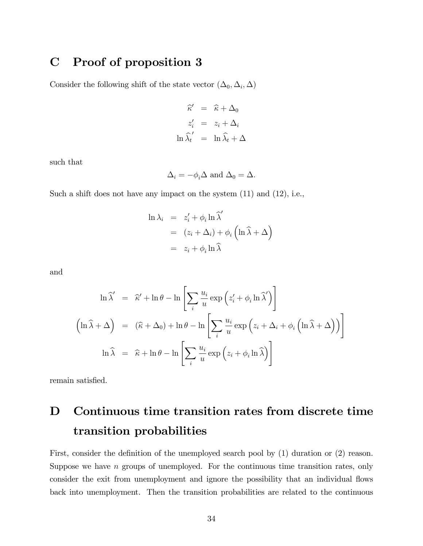## C Proof of proposition 3

Consider the following shift of the state vector  $(\Delta_0, \Delta_i, \Delta)$ 

$$
\begin{aligned}\n\widehat{\kappa}' &= \widehat{\kappa} + \Delta_0 \\
z_i' &= z_i + \Delta_i \\
\ln \widehat{\lambda}_t' &= \ln \widehat{\lambda}_t + \Delta_i\n\end{aligned}
$$

such that

$$
\Delta_i = -\phi_i \Delta \text{ and } \Delta_0 = \Delta.
$$

Such a shift does not have any impact on the system (11) and (12), i.e.,

$$
\ln \lambda_i = z'_i + \phi_i \ln \widehat{\lambda}'
$$
  
=  $(z_i + \Delta_i) + \phi_i \left( \ln \widehat{\lambda} + \Delta \right)$   
=  $z_i + \phi_i \ln \widehat{\lambda}$ 

and

$$
\ln \hat{\lambda}' = \hat{\kappa}' + \ln \theta - \ln \left[ \sum_{i} \frac{u_i}{u} \exp \left( z'_i + \phi_i \ln \hat{\lambda}' \right) \right]
$$

$$
\left( \ln \hat{\lambda} + \Delta \right) = (\hat{\kappa} + \Delta_0) + \ln \theta - \ln \left[ \sum_{i} \frac{u_i}{u} \exp \left( z_i + \Delta_i + \phi_i \left( \ln \hat{\lambda} + \Delta \right) \right) \right]
$$

$$
\ln \hat{\lambda} = \hat{\kappa} + \ln \theta - \ln \left[ \sum_{i} \frac{u_i}{u} \exp \left( z_i + \phi_i \ln \hat{\lambda} \right) \right]
$$

remain satisfied.

# D Continuous time transition rates from discrete time transition probabilities

First, consider the definition of the unemployed search pool by  $(1)$  duration or  $(2)$  reason. Suppose we have  $n$  groups of unemployed. For the continuous time transition rates, only consider the exit from unemployment and ignore the possibility that an individual flows back into unemployment. Then the transition probabilities are related to the continuous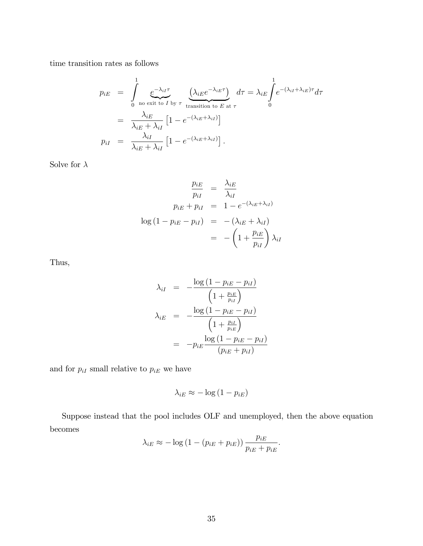time transition rates as follows

$$
p_{iE} = \int_{0}^{1} \underbrace{e^{-\lambda_{iI}\tau}}_{\text{no exit to } I \text{ by } \tau} \underbrace{(\lambda_{iE}e^{-\lambda_{iE}\tau})}_{\text{transition to } E \text{ at } \tau} d\tau = \lambda_{iE} \int_{0}^{1} e^{-(\lambda_{iI} + \lambda_{iE})\tau} d\tau
$$

$$
= \frac{\lambda_{iE}}{\lambda_{iE} + \lambda_{iI}} \left[1 - e^{-(\lambda_{iE} + \lambda_{iI})}\right]
$$

$$
p_{iI} = \frac{\lambda_{iI}}{\lambda_{iE} + \lambda_{iI}} \left[1 - e^{-(\lambda_{iE} + \lambda_{iI})}\right].
$$

Solve for  $\lambda$ 

$$
\frac{p_{iE}}{p_{iI}} = \frac{\lambda_{iE}}{\lambda_{iI}}
$$
  

$$
p_{iE} + p_{iI} = 1 - e^{-(\lambda_{iE} + \lambda_{iI})}
$$
  

$$
\log (1 - p_{iE} - p_{iI}) = -(\lambda_{iE} + \lambda_{iI})
$$
  

$$
= -\left(1 + \frac{p_{iE}}{p_{iI}}\right)\lambda_{iI}
$$

Thus,

$$
\lambda_{iI} = -\frac{\log (1 - p_{iE} - p_{iI})}{\left(1 + \frac{p_{iE}}{p_{iI}}\right)}
$$
\n
$$
\lambda_{iE} = -\frac{\log (1 - p_{iE} - p_{iI})}{\left(1 + \frac{p_{iI}}{p_{iE}}\right)}
$$
\n
$$
= -p_{iE} \frac{\log (1 - p_{iE} - p_{iI})}{(p_{iE} + p_{iI})}
$$

and for  $p_{iI}$  small relative to  $p_{iE}$  we have

$$
\lambda_{iE} \approx -\log\left(1 - p_{iE}\right)
$$

Suppose instead that the pool includes OLF and unemployed, then the above equation becomes

$$
\lambda_{iE} \approx -\log\left(1 - (p_{iE} + p_{iE})\right) \frac{p_{iE}}{p_{iE} + p_{iE}}.
$$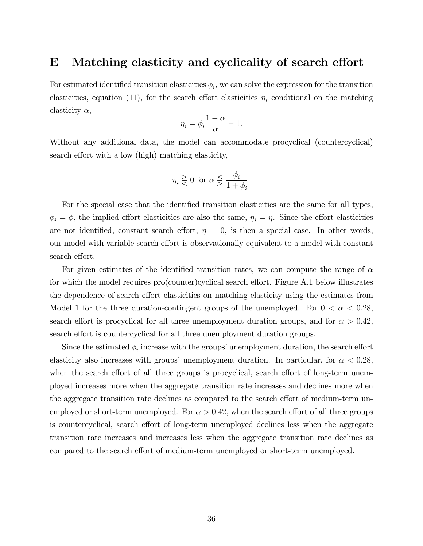### E Matching elasticity and cyclicality of search effort

For estimated identified transition elasticities  $\phi_i$ , we can solve the expression for the transition elasticities, equation (11), for the search effort elasticities  $\eta_i$  conditional on the matching elasticity  $\alpha$ ,

$$
\eta_i = \phi_i \frac{1-\alpha}{\alpha} - 1.
$$

Without any additional data, the model can accommodate procyclical (countercyclical) search effort with a low (high) matching elasticity,

$$
\eta_i \gtreqless 0 \text{ for } \alpha \lesseqgtr \frac{\phi_i}{1+\phi_i}.
$$

For the special case that the identified transition elasticities are the same for all types,  $\phi_i = \phi$ , the implied effort elasticities are also the same,  $\eta_i = \eta$ . Since the effort elasticities are not identified, constant search effort,  $\eta = 0$ , is then a special case. In other words, our model with variable search effort is observationally equivalent to a model with constant search effort.

For given estimates of the identified transition rates, we can compute the range of  $\alpha$ for which the model requires pro(counter)cyclical search effort. Figure  $A.1$  below illustrates the dependence of search effort elasticities on matching elasticity using the estimates from Model 1 for the three duration-contingent groups of the unemployed. For  $0 < \alpha < 0.28$ , search effort is procyclical for all three unemployment duration groups, and for  $\alpha > 0.42$ , search effort is countercyclical for all three unemployment duration groups.

Since the estimated  $\phi_i$  increase with the groups' unemployment duration, the search effort elasticity also increases with groups' unemployment duration. In particular, for  $\alpha < 0.28$ , when the search effort of all three groups is procyclical, search effort of long-term unemployed increases more when the aggregate transition rate increases and declines more when the aggregate transition rate declines as compared to the search effort of medium-term unemployed or short-term unemployed. For  $\alpha > 0.42$ , when the search effort of all three groups is countercyclical, search effort of long-term unemployed declines less when the aggregate transition rate increases and increases less when the aggregate transition rate declines as compared to the search effort of medium-term unemployed or short-term unemployed.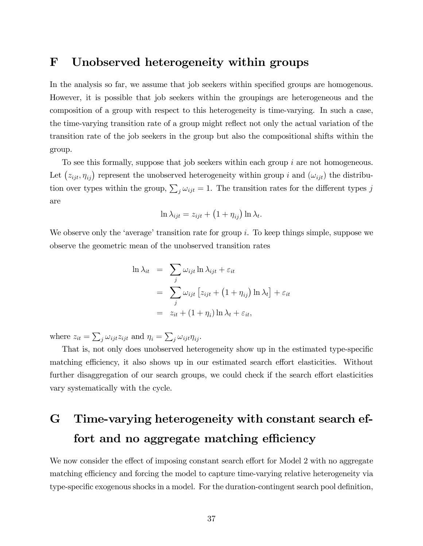### F Unobserved heterogeneity within groups

In the analysis so far, we assume that job seekers within specified groups are homogenous. However, it is possible that job seekers within the groupings are heterogeneous and the composition of a group with respect to this heterogeneity is time-varying. In such a case, the time-varying transition rate of a group might reflect not only the actual variation of the transition rate of the job seekers in the group but also the compositional shifts within the group.

To see this formally, suppose that job seekers within each group i are not homogeneous. Let  $(z_{ijt}, \eta_{ij})$  represent the unobserved heterogeneity within group i and  $(\omega_{ijt})$  the distribution over types within the group,  $\sum_j \omega_{ijt} = 1$ . The transition rates for the different types j are

$$
\ln \lambda_{ijt} = z_{ijt} + (1 + \eta_{ij}) \ln \lambda_t.
$$

We observe only the 'average' transition rate for group i. To keep things simple, suppose we observe the geometric mean of the unobserved transition rates

$$
\ln \lambda_{it} = \sum_{j} \omega_{ijt} \ln \lambda_{ijt} + \varepsilon_{it}
$$
  
= 
$$
\sum_{j} \omega_{ijt} [z_{ijt} + (1 + \eta_{ij}) \ln \lambda_t] + \varepsilon_{it}
$$
  
= 
$$
z_{it} + (1 + \eta_i) \ln \lambda_t + \varepsilon_{it},
$$

where  $z_{it} = \sum_j \omega_{ijt} z_{ijt}$  and  $\eta_i = \sum_j \omega_{ijt} \eta_{ij}$ .

That is, not only does unobserved heterogeneity show up in the estimated type-specific matching efficiency, it also shows up in our estimated search effort elasticities. Without further disaggregation of our search groups, we could check if the search effort elasticities vary systematically with the cycle.

# G Time-varying heterogeneity with constant search effort and no aggregate matching efficiency

We now consider the effect of imposing constant search effort for Model 2 with no aggregate matching efficiency and forcing the model to capture time-varying relative heterogeneity via type-specific exogenous shocks in a model. For the duration-contingent search pool definition,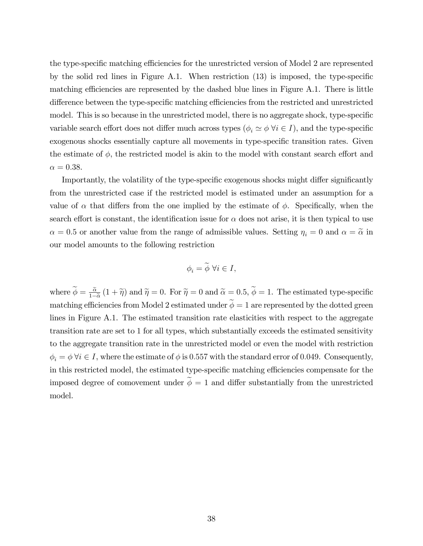the type-specific matching efficiencies for the unrestricted version of Model 2 are represented by the solid red lines in Figure A.1. When restriction  $(13)$  is imposed, the type-specific matching efficiencies are represented by the dashed blue lines in Figure  $A.1$ . There is little difference between the type-specific matching efficiencies from the restricted and unrestricted model. This is so because in the unrestricted model, there is no aggregate shock, type-specific variable search effort does not differ much across types ( $\phi_i \simeq \phi \,\forall i \in I$ ), and the type-specific exogenous shocks essentially capture all movements in type-specific transition rates. Given the estimate of  $\phi$ , the restricted model is akin to the model with constant search effort and  $\alpha = 0.38$ .

Importantly, the volatility of the type-specific exogenous shocks might differ significantly from the unrestricted case if the restricted model is estimated under an assumption for a value of  $\alpha$  that differs from the one implied by the estimate of  $\phi$ . Specifically, when the search effort is constant, the identification issue for  $\alpha$  does not arise, it is then typical to use  $\alpha = 0.5$  or another value from the range of admissible values. Setting  $\eta_i = 0$  and  $\alpha = \tilde{\alpha}$  in our model amounts to the following restriction

$$
\phi_i = \widetilde{\phi} \,\,\forall i \in I,
$$

where  $\phi = \frac{\tilde{\alpha}}{1 - \tilde{\alpha}}$  $\frac{\alpha}{1-\widetilde{\alpha}}(1+\widetilde{\eta})$  and  $\widetilde{\eta}=0$ . For  $\widetilde{\eta}=0$  and  $\widetilde{\alpha}=0.5, \phi=1$ . The estimated type-specific matching efficiencies from Model 2 estimated under  $\widetilde{\phi} = 1$  are represented by the dotted green lines in Figure A.1. The estimated transition rate elasticities with respect to the aggregate transition rate are set to 1 for all types, which substantially exceeds the estimated sensitivity to the aggregate transition rate in the unrestricted model or even the model with restriction  $\phi_i = \phi \,\forall i \in I$ , where the estimate of  $\phi$  is 0.557 with the standard error of 0.049. Consequently, in this restricted model, the estimated type-specific matching efficiencies compensate for the imposed degree of comovement under  $\widetilde{\phi} = 1$  and differ substantially from the unrestricted model.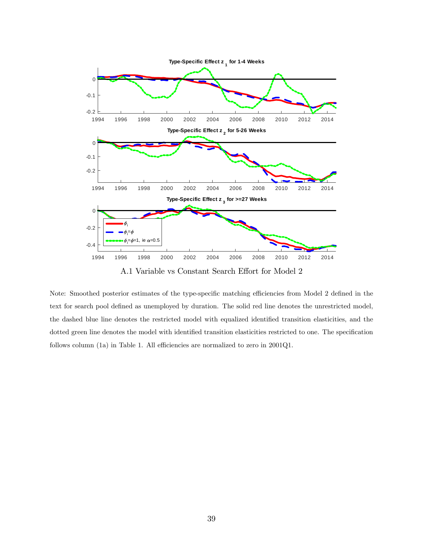

A.1 Variable vs Constant Search Effort for Model 2

Note: Smoothed posterior estimates of the type-specific matching efficiencies from Model 2 defined in the text for search pool defined as unemployed by duration. The solid red line denotes the unrestricted model, the dashed blue line denotes the restricted model with equalized identified transition elasticities, and the dotted green line denotes the model with identified transition elasticities restricted to one. The specification follows column (1a) in Table 1. All efficiencies are normalized to zero in  $2001Q1$ .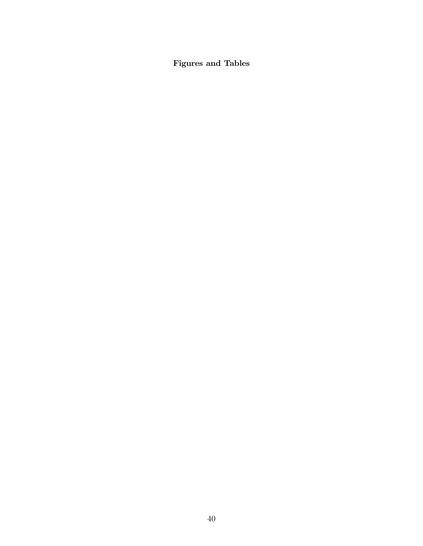Figures and Tables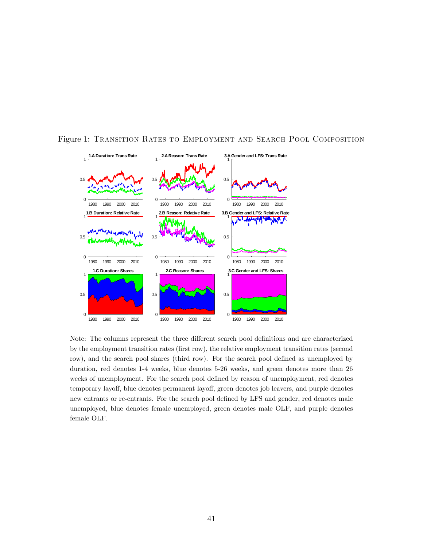

Figure 1: Transition Rates to Employment and Search Pool Composition

Note: The columns represent the three different search pool definitions and are characterized by the employment transition rates (first row), the relative employment transition rates (second row), and the search pool shares (third row). For the search pool defined as unemployed by duration, red denotes 1-4 weeks, blue denotes 5-26 weeks, and green denotes more than 26 weeks of unemployment. For the search pool defined by reason of unemployment, red denotes temporary layoff, blue denotes permanent layoff, green denotes job leavers, and purple denotes new entrants or re-entrants. For the search pool defined by LFS and gender, red denotes male unemployed, blue denotes female unemployed, green denotes male OLF, and purple denotes female OLF.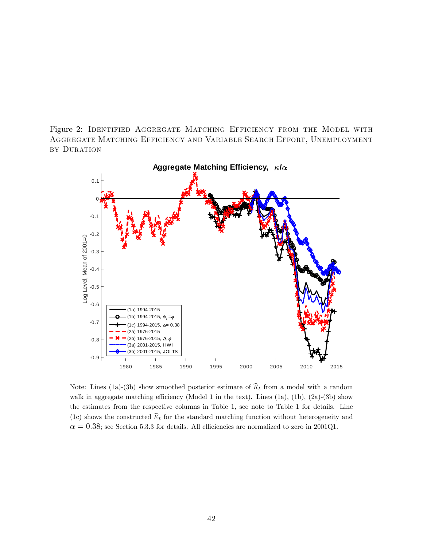Figure 2: IDENTIFIED AGGREGATE MATCHING EFFICIENCY FROM THE MODEL WITH Aggregate Matching Efficiency and Variable Search Effort, Unemployment by Duration



Note: Lines (1a)-(3b) show smoothed posterior estimate of  $\hat{\kappa}_t$  from a model with a random walk in aggregate matching efficiency (Model 1 in the text). Lines  $(1a)$ ,  $(1b)$ ,  $(2a)$ - $(3b)$  show the estimates from the respective columns in Table 1, see note to Table 1 for details. Line (1c) shows the constructed  $\hat{\kappa}_t$  for the standard matching function without heterogeneity and  $\alpha = 0.38$ ; see Section 5.3.3 for details. All efficiencies are normalized to zero in 2001Q1.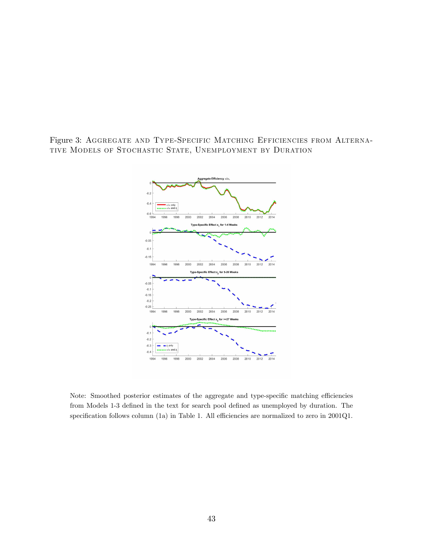Figure 3: Aggregate and Type-Specific Matching Efficiencies from Alternative Models of Stochastic State, Unemployment by Duration



Note: Smoothed posterior estimates of the aggregate and type-specific matching efficiencies from Models 1-3 defined in the text for search pool defined as unemployed by duration. The specification follows column (1a) in Table 1. All efficiencies are normalized to zero in  $2001Q1$ .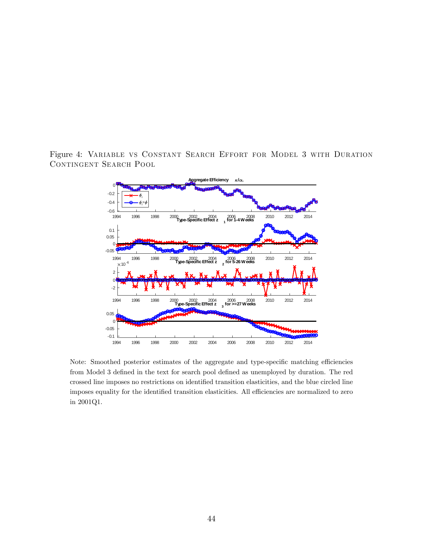Figure 4: Variable vs Constant Search Effort for Model 3 with Duration CONTINGENT SEARCH POOL



Note: Smoothed posterior estimates of the aggregate and type-specific matching efficiencies from Model 3 defined in the text for search pool defined as unemployed by duration. The red crossed line imposes no restrictions on identified transition elasticities, and the blue circled line imposes equality for the identified transition elasticities. All efficiencies are normalized to zero in 2001Q1.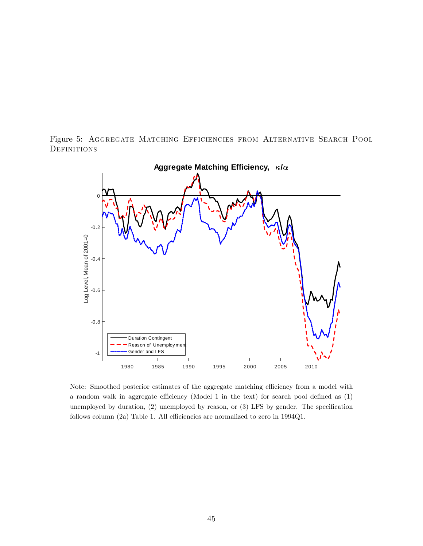



Note: Smoothed posterior estimates of the aggregate matching efficiency from a model with a random walk in aggregate efficiency (Model 1 in the text) for search pool defined as  $(1)$ unemployed by duration,  $(2)$  unemployed by reason, or  $(3)$  LFS by gender. The specification follows column (2a) Table 1. All efficiencies are normalized to zero in  $1994Q1$ .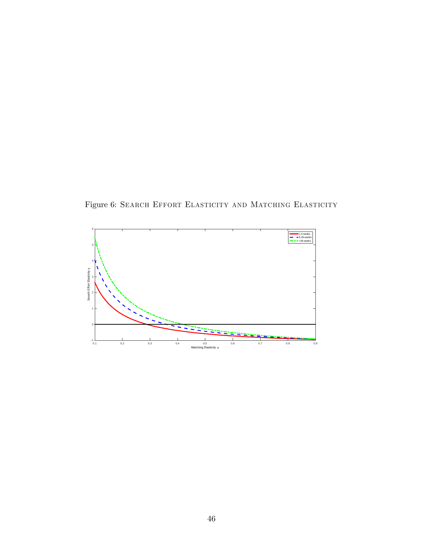Figure 6: Search Effort Elasticity and Matching Elasticity

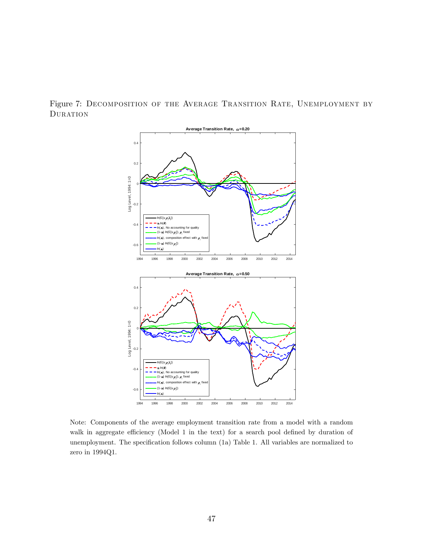Figure 7: Decomposition of the Average Transition Rate, Unemployment by **DURATION** 



Note: Components of the average employment transition rate from a model with a random walk in aggregate efficiency (Model 1 in the text) for a search pool defined by duration of unemployment. The specification follows column (1a) Table 1. All variables are normalized to zero in 1994Q1.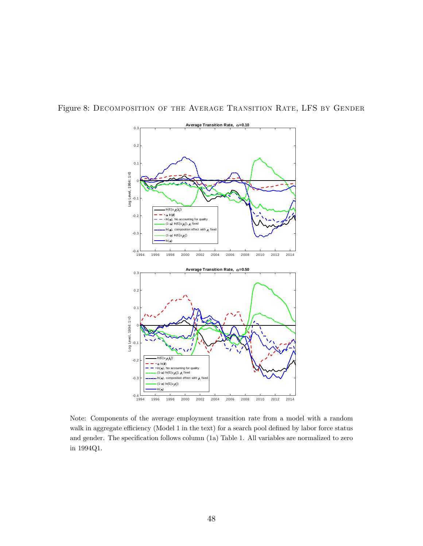

Figure 8: Decomposition of the Average Transition Rate, LFS by Gender

Note: Components of the average employment transition rate from a model with a random walk in aggregate efficiency (Model 1 in the text) for a search pool defined by labor force status and gender. The specification follows column  $(1a)$  Table 1. All variables are normalized to zero in 1994Q1.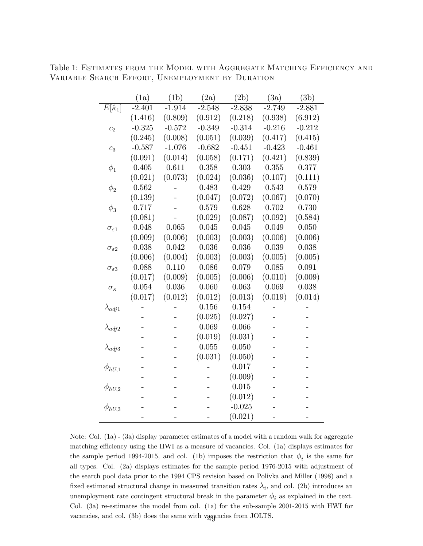|                          | (1a)     | $\overline{(1b)}$ | $\overline{(2a)}$ | $\overline{(2b)}$ | $\overline{(3a)}$ | $\overline{(3b)}$ |
|--------------------------|----------|-------------------|-------------------|-------------------|-------------------|-------------------|
| $E[\widehat{\kappa}_1]$  | $-2.401$ | $-1.914$          | $-2.548$          | $-2.838$          | $-2.749$          | $-2.881$          |
|                          | (1.416)  | (0.809)           | (0.912)           | (0.218)           | (0.938)           | (6.912)           |
| c <sub>2</sub>           | $-0.325$ | $-0.572$          | $-0.349$          | $-0.314$          | $-0.216$          | $-0.212$          |
|                          | (0.245)  | (0.008)           | (0.051)           | (0.039)           | (0.417)           | (0.415)           |
| $c_3$                    | $-0.587$ | $-1.076$          | $-0.682$          | $-0.451$          | $-0.423$          | $-0.461$          |
|                          | (0.091)  | (0.014)           | (0.058)           | (0.171)           | (0.421)           | (0.839)           |
| $\phi_1$                 | 0.405    | 0.611             | 0.358             | 0.303             | 0.355             | 0.377             |
|                          | (0.021)  | (0.073)           | (0.024)           | (0.036)           | (0.107)           | (0.111)           |
| $\phi_2$                 | 0.562    |                   | 0.483             | 0.429             | 0.543             | 0.579             |
|                          | (0.139)  |                   | (0.047)           | (0.072)           | (0.067)           | (0.070)           |
| $\phi_3$                 | 0.717    |                   | 0.579             | 0.628             | 0.702             | 0.730             |
|                          | (0.081)  |                   | (0.029)           | (0.087)           | (0.092)           | (0.584)           |
| $\sigma_{\varepsilon 1}$ | 0.048    | 0.065             | 0.045             | 0.045             | 0.049             | 0.050             |
|                          | (0.009)  | (0.006)           | (0.003)           | (0.003)           | (0.006)           | (0.006)           |
| $\sigma_{\varepsilon2}$  | 0.038    | 0.042             | 0.036             | 0.036             | 0.039             | 0.038             |
|                          | (0.006)  | (0.004)           | (0.003)           | (0.003)           | (0.005)           | (0.005)           |
| $\sigma_{\varepsilon 3}$ | 0.088    | 0.110             | 0.086             | 0.079             | 0.085             | 0.091             |
|                          | (0.017)  | (0.009)           | (0.005)           | (0.006)           | (0.010)           | (0.009)           |
| $\sigma_{\kappa}$        | 0.054    | 0.036             | 0.060             | 0.063             | 0.069             | 0.038             |
|                          | (0.017)  | (0.012)           | (0.012)           | (0.013)           | (0.019)           | (0.014)           |
| $\lambda_{adj1}$         |          |                   | 0.156             | 0.154             |                   |                   |
|                          |          |                   | (0.025)           | (0.027)           |                   |                   |
| $\lambda_{adj2}$         |          |                   | 0.069             | 0.066             |                   |                   |
|                          |          |                   | (0.019)           | (0.031)           |                   |                   |
| $\lambda_{adj3}$         |          |                   | 0.055             | 0.050             |                   |                   |
|                          |          |                   | (0.031)           | (0.050)           |                   |                   |
| $\phi_{hU,1}$            |          |                   |                   | 0.017             |                   |                   |
|                          |          |                   |                   | (0.009)           |                   |                   |
| $\phi_{hU,2}$            |          |                   |                   | 0.015             |                   |                   |
|                          |          |                   |                   | (0.012)           |                   |                   |
| $\phi_{hU,3}$            |          |                   |                   | $-0.025$          |                   |                   |
|                          |          |                   |                   | (0.021)           |                   |                   |

Table 1: Estimates from the Model with Aggregate Matching Efficiency and Variable Search Effort, Unemployment by Duration

Note: Col. (1a) - (3a) display parameter estimates of a model with a random walk for aggregate matching efficiency using the HWI as a measure of vacancies. Col. (1a) displays estimates for the sample period 1994-2015, and col. (1b) imposes the restriction that  $\phi_i$  is the same for all types. Col. (2a) displays estimates for the sample period 1976-2015 with adjustment of the search pool data prior to the 1994 CPS revision based on Polivka and Miller (1998) and a fixed estimated structural change in measured transition rates  $\lambda_i$ , and col. (2b) introduces an unemployment rate contingent structural break in the parameter  $\phi_i$  as explained in the text. Col. (3a) re-estimates the model from col. (1a) for the sub-sample 2001-2015 with HWI for vacancies, and col. (3b) does the same with vacancies from JOLTS.